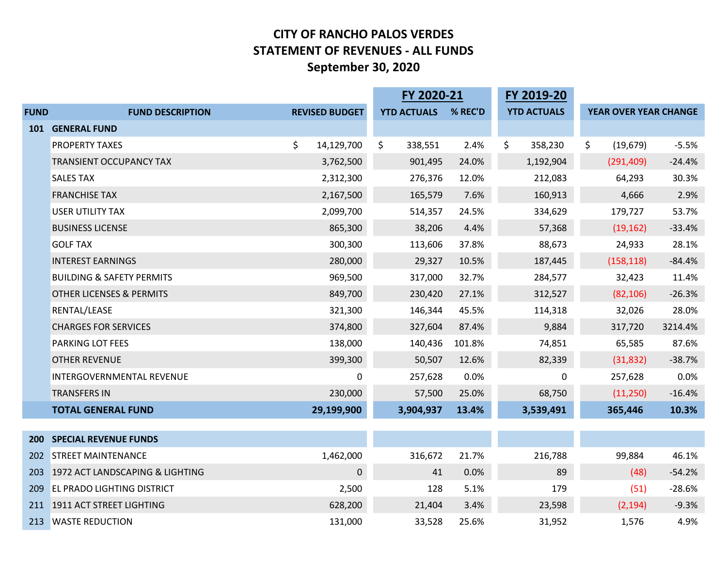#### **CITY OF RANCHO PALOS VERDES STATEMENT OF REVENUES ‐ ALL FUNDS September 30, 2020**

|             |                                      |                       | FY 2020-21         |         | FY 2019-20         |                       |          |
|-------------|--------------------------------------|-----------------------|--------------------|---------|--------------------|-----------------------|----------|
| <b>FUND</b> | <b>FUND DESCRIPTION</b>              | <b>REVISED BUDGET</b> | <b>YTD ACTUALS</b> | % REC'D | <b>YTD ACTUALS</b> | YEAR OVER YEAR CHANGE |          |
| <b>101</b>  | <b>GENERAL FUND</b>                  |                       |                    |         |                    |                       |          |
|             | <b>PROPERTY TAXES</b>                | \$<br>14,129,700      | \$<br>338,551      | 2.4%    | \$<br>358,230      | \$<br>(19, 679)       | $-5.5%$  |
|             | <b>TRANSIENT OCCUPANCY TAX</b>       | 3,762,500             | 901,495            | 24.0%   | 1,192,904          | (291, 409)            | $-24.4%$ |
|             | <b>SALES TAX</b>                     | 2,312,300             | 276,376            | 12.0%   | 212,083            | 64,293                | 30.3%    |
|             | <b>FRANCHISE TAX</b>                 | 2,167,500             | 165,579            | 7.6%    | 160,913            | 4,666                 | 2.9%     |
|             | <b>USER UTILITY TAX</b>              | 2,099,700             | 514,357            | 24.5%   | 334,629            | 179,727               | 53.7%    |
|             | <b>BUSINESS LICENSE</b>              | 865,300               | 38,206             | 4.4%    | 57,368             | (19, 162)             | $-33.4%$ |
|             | <b>GOLF TAX</b>                      | 300,300               | 113,606            | 37.8%   | 88,673             | 24,933                | 28.1%    |
|             | <b>INTEREST EARNINGS</b>             | 280,000               | 29,327             | 10.5%   | 187,445            | (158, 118)            | $-84.4%$ |
|             | <b>BUILDING &amp; SAFETY PERMITS</b> | 969,500               | 317,000            | 32.7%   | 284,577            | 32,423                | 11.4%    |
|             | <b>OTHER LICENSES &amp; PERMITS</b>  | 849,700               | 230,420            | 27.1%   | 312,527            | (82, 106)             | $-26.3%$ |
|             | RENTAL/LEASE                         | 321,300               | 146,344            | 45.5%   | 114,318            | 32,026                | 28.0%    |
|             | <b>CHARGES FOR SERVICES</b>          | 374,800               | 327,604            | 87.4%   | 9,884              | 317,720               | 3214.4%  |
|             | <b>PARKING LOT FEES</b>              | 138,000               | 140,436            | 101.8%  | 74,851             | 65,585                | 87.6%    |
|             | <b>OTHER REVENUE</b>                 | 399,300               | 50,507             | 12.6%   | 82,339             | (31, 832)             | $-38.7%$ |
|             | <b>INTERGOVERNMENTAL REVENUE</b>     | 0                     | 257,628            | 0.0%    | 0                  | 257,628               | 0.0%     |
|             | <b>TRANSFERS IN</b>                  | 230,000               | 57,500             | 25.0%   | 68,750             | (11,250)              | $-16.4%$ |
|             | <b>TOTAL GENERAL FUND</b>            | 29,199,900            | 3,904,937          | 13.4%   | 3,539,491          | 365,446               | 10.3%    |
|             |                                      |                       |                    |         |                    |                       |          |
| <b>200</b>  | <b>SPECIAL REVENUE FUNDS</b>         |                       |                    |         |                    |                       |          |
| <b>202</b>  | <b>STREET MAINTENANCE</b>            | 1,462,000             | 316,672            | 21.7%   | 216,788            | 99,884                | 46.1%    |
| 203         | 1972 ACT LANDSCAPING & LIGHTING      | 0                     | 41                 | 0.0%    | 89                 | (48)                  | $-54.2%$ |
| 209         | <b>EL PRADO LIGHTING DISTRICT</b>    | 2,500                 | 128                | 5.1%    | 179                | (51)                  | $-28.6%$ |
|             | 211 1911 ACT STREET LIGHTING         | 628,200               | 21,404             | 3.4%    | 23,598             | (2, 194)              | $-9.3%$  |
|             | 213 WASTE REDUCTION                  | 131,000               | 33,528             | 25.6%   | 31,952             | 1,576                 | 4.9%     |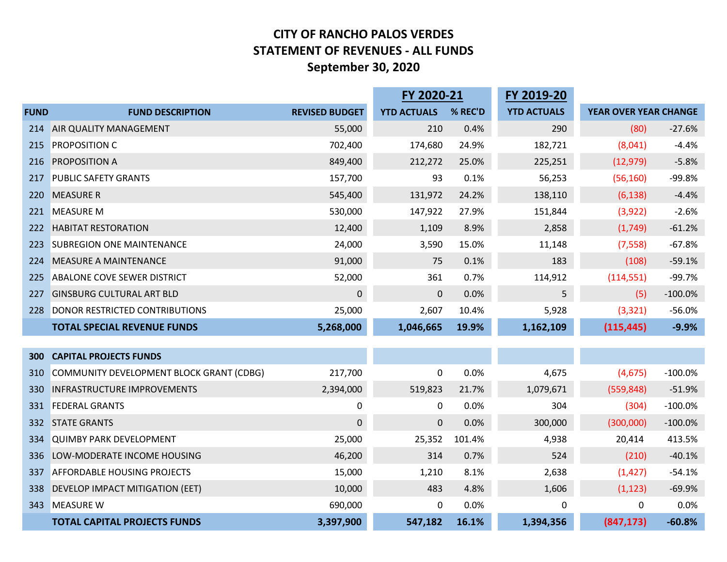#### **CITY OF RANCHO PALOS VERDES STATEMENT OF REVENUES ‐ ALL FUNDS September 30, 2020**

|             |                                          |                       | FY 2020-21         |         | FY 2019-20         |                              |           |
|-------------|------------------------------------------|-----------------------|--------------------|---------|--------------------|------------------------------|-----------|
| <b>FUND</b> | <b>FUND DESCRIPTION</b>                  | <b>REVISED BUDGET</b> | <b>YTD ACTUALS</b> | % REC'D | <b>YTD ACTUALS</b> | <b>YEAR OVER YEAR CHANGE</b> |           |
| 214         | <b>AIR QUALITY MANAGEMENT</b>            | 55,000                | 210                | 0.4%    | 290                | (80)                         | $-27.6%$  |
| 215         | <b>PROPOSITION C</b>                     | 702,400               | 174,680            | 24.9%   | 182,721            | (8,041)                      | $-4.4%$   |
| 216         | <b>PROPOSITION A</b>                     | 849,400               | 212,272            | 25.0%   | 225,251            | (12, 979)                    | $-5.8%$   |
| 217         | <b>PUBLIC SAFETY GRANTS</b>              | 157,700               | 93                 | 0.1%    | 56,253             | (56, 160)                    | $-99.8%$  |
| 220         | <b>MEASURE R</b>                         | 545,400               | 131,972            | 24.2%   | 138,110            | (6, 138)                     | $-4.4%$   |
| 221         | <b>MEASURE M</b>                         | 530,000               | 147,922            | 27.9%   | 151,844            | (3,922)                      | $-2.6%$   |
| 222         | <b>HABITAT RESTORATION</b>               | 12,400                | 1,109              | 8.9%    | 2,858              | (1,749)                      | $-61.2%$  |
| 223         | <b>SUBREGION ONE MAINTENANCE</b>         | 24,000                | 3,590              | 15.0%   | 11,148             | (7, 558)                     | $-67.8%$  |
| 224         | <b>MEASURE A MAINTENANCE</b>             | 91,000                | 75                 | 0.1%    | 183                | (108)                        | $-59.1%$  |
| 225         | <b>ABALONE COVE SEWER DISTRICT</b>       | 52,000                | 361                | 0.7%    | 114,912            | (114, 551)                   | $-99.7%$  |
| 227         | <b>GINSBURG CULTURAL ART BLD</b>         | $\mathbf 0$           | $\mathbf 0$        | 0.0%    | 5                  | (5)                          | $-100.0%$ |
| 228         | DONOR RESTRICTED CONTRIBUTIONS           | 25,000                | 2,607              | 10.4%   | 5,928              | (3, 321)                     | $-56.0%$  |
|             | <b>TOTAL SPECIAL REVENUE FUNDS</b>       | 5,268,000             | 1,046,665          | 19.9%   | 1,162,109          | (115, 445)                   | $-9.9%$   |
|             |                                          |                       |                    |         |                    |                              |           |
| 300         | <b>CAPITAL PROJECTS FUNDS</b>            |                       |                    |         |                    |                              |           |
| 310         | COMMUNITY DEVELOPMENT BLOCK GRANT (CDBG) | 217,700               | $\pmb{0}$          | 0.0%    | 4,675              | (4, 675)                     | $-100.0%$ |
| 330         | <b>INFRASTRUCTURE IMPROVEMENTS</b>       | 2,394,000             | 519,823            | 21.7%   | 1,079,671          | (559, 848)                   | $-51.9%$  |
| 331         | <b>FEDERAL GRANTS</b>                    | 0                     | 0                  | 0.0%    | 304                | (304)                        | $-100.0%$ |
| 332         | <b>STATE GRANTS</b>                      | $\mathbf{0}$          | $\mathbf{0}$       | 0.0%    | 300,000            | (300,000)                    | $-100.0%$ |
| 334         | <b>QUIMBY PARK DEVELOPMENT</b>           | 25,000                | 25,352             | 101.4%  | 4,938              | 20,414                       | 413.5%    |
| 336         | LOW-MODERATE INCOME HOUSING              | 46,200                | 314                | 0.7%    | 524                | (210)                        | $-40.1%$  |
| 337         | <b>AFFORDABLE HOUSING PROJECTS</b>       | 15,000                | 1,210              | 8.1%    | 2,638              | (1, 427)                     | $-54.1%$  |
| 338         | DEVELOP IMPACT MITIGATION (EET)          | 10,000                | 483                | 4.8%    | 1,606              | (1, 123)                     | $-69.9%$  |
| 343         | <b>MEASURE W</b>                         | 690,000               | $\Omega$           | 0.0%    | 0                  | 0                            | 0.0%      |
|             | <b>TOTAL CAPITAL PROJECTS FUNDS</b>      | 3,397,900             | 547,182            | 16.1%   | 1,394,356          | (847, 173)                   | $-60.8%$  |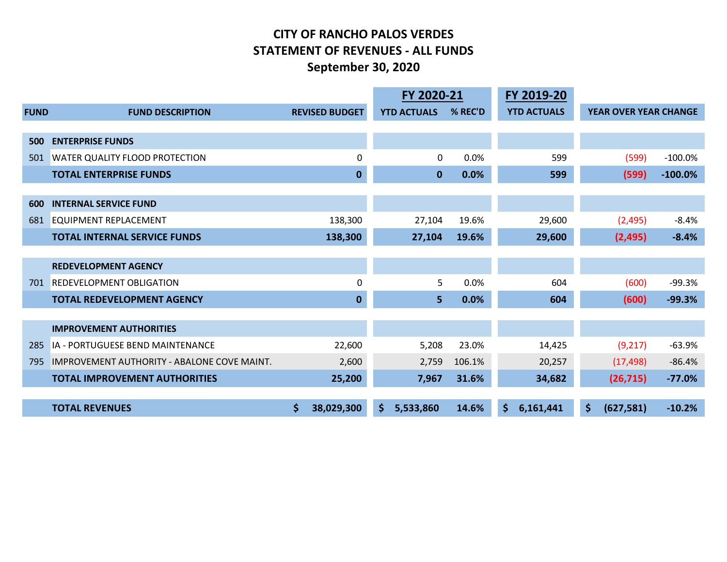#### **CITY OF RANCHO PALOS VERDES STATEMENT OF REVENUES ‐ ALL FUNDS September 30, 2020**

|             |                                             |    |                       | FY 2020-21 |                    | FY 2019-20 |                    |    |                              |            |
|-------------|---------------------------------------------|----|-----------------------|------------|--------------------|------------|--------------------|----|------------------------------|------------|
| <b>FUND</b> | <b>FUND DESCRIPTION</b>                     |    | <b>REVISED BUDGET</b> |            | <b>YTD ACTUALS</b> | % REC'D    | <b>YTD ACTUALS</b> |    | <b>YEAR OVER YEAR CHANGE</b> |            |
|             |                                             |    |                       |            |                    |            |                    |    |                              |            |
| 500         | <b>ENTERPRISE FUNDS</b>                     |    |                       |            |                    |            |                    |    |                              |            |
| 501         | <b>WATER QUALITY FLOOD PROTECTION</b>       |    | 0                     |            | 0                  | 0.0%       | 599                |    | (599)                        | $-100.0%$  |
|             | <b>TOTAL ENTERPRISE FUNDS</b>               |    | $\mathbf 0$           |            | $\mathbf 0$        | 0.0%       | 599                |    | (599)                        | $-100.0\%$ |
| 600         | <b>INTERNAL SERVICE FUND</b>                |    |                       |            |                    |            |                    |    |                              |            |
| 681         | <b>EQUIPMENT REPLACEMENT</b>                |    | 138,300               |            | 27,104             | 19.6%      | 29,600             |    | (2, 495)                     | $-8.4%$    |
|             | <b>TOTAL INTERNAL SERVICE FUNDS</b>         |    | 138,300               |            | 27,104             | 19.6%      | 29,600             |    | (2,495)                      | $-8.4%$    |
|             |                                             |    |                       |            |                    |            |                    |    |                              |            |
|             | <b>REDEVELOPMENT AGENCY</b>                 |    |                       |            |                    |            |                    |    |                              |            |
| 701         | <b>REDEVELOPMENT OBLIGATION</b>             |    | 0                     |            | 5                  | 0.0%       | 604                |    | (600)                        | $-99.3%$   |
|             | <b>TOTAL REDEVELOPMENT AGENCY</b>           |    | $\bf{0}$              |            | 5                  | 0.0%       | 604                |    | (600)                        | $-99.3%$   |
|             |                                             |    |                       |            |                    |            |                    |    |                              |            |
|             | <b>IMPROVEMENT AUTHORITIES</b>              |    |                       |            |                    |            |                    |    |                              |            |
| 285         | IA - PORTUGUESE BEND MAINTENANCE            |    | 22,600                |            | 5,208              | 23.0%      | 14,425             |    | (9,217)                      | $-63.9%$   |
| 795         | IMPROVEMENT AUTHORITY - ABALONE COVE MAINT. |    | 2,600                 |            | 2,759              | 106.1%     | 20,257             |    | (17, 498)                    | $-86.4%$   |
|             | <b>TOTAL IMPROVEMENT AUTHORITIES</b>        |    | 25,200                |            | 7,967              | 31.6%      | 34,682             |    | (26, 715)                    | $-77.0%$   |
|             |                                             |    |                       |            |                    |            |                    |    |                              |            |
|             | <b>TOTAL REVENUES</b>                       | \$ | 38,029,300            | \$.        | 5,533,860          | 14.6%      | \$<br>6,161,441    | \$ | (627, 581)                   | $-10.2%$   |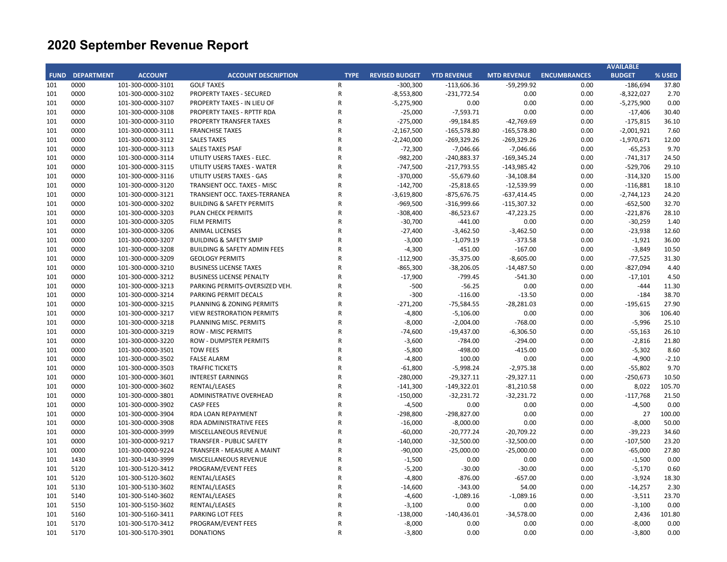|     |                        |                   |                                         |                |                       |                    |                    |                     | <b>AVAILABLE</b>     |         |
|-----|------------------------|-------------------|-----------------------------------------|----------------|-----------------------|--------------------|--------------------|---------------------|----------------------|---------|
|     | <b>FUND DEPARTMENT</b> | <b>ACCOUNT</b>    | <b>ACCOUNT DESCRIPTION</b>              | <b>TYPE</b>    | <b>REVISED BUDGET</b> | <b>YTD REVENUE</b> | <b>MTD REVENUE</b> | <b>ENCUMBRANCES</b> | <b>BUDGET</b>        | % USED  |
| 101 | 0000                   | 101-300-0000-3101 | <b>GOLF TAXES</b>                       | R              | $-300,300$            | $-113,606.36$      | $-59,299.92$       | 0.00                | $-186,694$           | 37.80   |
| 101 | 0000                   | 101-300-0000-3102 | PROPERTY TAXES - SECURED                | $\mathsf R$    | $-8,553,800$          | $-231,772.54$      | 0.00               | 0.00                | $-8,322,027$         | 2.70    |
| 101 | 0000                   | 101-300-0000-3107 | PROPERTY TAXES - IN LIEU OF             | ${\sf R}$      | $-5,275,900$          | 0.00               | 0.00               | 0.00                | $-5,275,900$         | 0.00    |
| 101 | 0000                   | 101-300-0000-3108 | PROPERTY TAXES - RPTTF RDA              | $\mathsf{R}$   | $-25,000$             | $-7,593.71$        | 0.00               | 0.00                | $-17,406$            | 30.40   |
| 101 | 0000                   | 101-300-0000-3110 | PROPERTY TRANSFER TAXES                 | ${\sf R}$      | $-275,000$            | $-99,184.85$       | $-42,769.69$       | 0.00                | $-175,815$           | 36.10   |
| 101 | 0000                   | 101-300-0000-3111 | <b>FRANCHISE TAXES</b>                  | $\mathsf R$    | $-2,167,500$          | $-165,578.80$      | $-165,578.80$      | 0.00                | $-2,001,921$         | 7.60    |
| 101 | 0000                   | 101-300-0000-3112 | <b>SALES TAXES</b>                      | $\mathsf{R}$   | $-2,240,000$          | $-269,329.26$      | $-269,329.26$      | 0.00                | $-1,970,671$         | 12.00   |
| 101 | 0000                   | 101-300-0000-3113 | SALES TAXES PSAF                        | $\mathsf{R}$   | $-72,300$             | $-7,046.66$        | $-7,046.66$        | 0.00                | $-65,253$            | 9.70    |
| 101 | 0000                   | 101-300-0000-3114 | UTILITY USERS TAXES - ELEC.             | $\overline{R}$ | $-982,200$            | -240,883.37        | $-169,345.24$      | 0.00                | $-741,317$           | 24.50   |
| 101 | 0000                   | 101-300-0000-3115 | UTILITY USERS TAXES - WATER             | $\mathsf{R}$   | $-747,500$            | $-217,793.55$      | $-143,985.42$      | 0.00                | $-529,706$           | 29.10   |
| 101 | 0000                   | 101-300-0000-3116 | UTILITY USERS TAXES - GAS               | $\overline{R}$ | $-370,000$            | $-55,679.60$       | $-34,108.84$       | 0.00                | $-314,320$           | 15.00   |
| 101 | 0000                   | 101-300-0000-3120 | TRANSIENT OCC. TAXES - MISC             | $\mathsf R$    | $-142,700$            | $-25,818.65$       | $-12,539.99$       | 0.00                | $-116,881$           | 18.10   |
| 101 | 0000                   | 101-300-0000-3121 | TRANSIENT OCC. TAXES-TERRANEA           | $\mathsf{R}$   | $-3,619,800$          | -875,676.75        | $-637,414.45$      | 0.00                | $-2,744,123$         | 24.20   |
| 101 | 0000                   | 101-300-0000-3202 | <b>BUILDING &amp; SAFETY PERMITS</b>    | $\mathsf R$    | $-969,500$            | $-316,999.66$      | $-115,307.32$      | 0.00                | $-652,500$           | 32.70   |
| 101 | 0000                   | 101-300-0000-3203 | <b>PLAN CHECK PERMITS</b>               | $\mathsf{R}$   | $-308,400$            | $-86,523.67$       | $-47,223.25$       | 0.00                | $-221,876$           | 28.10   |
| 101 | 0000                   | 101-300-0000-3205 | <b>FILM PERMITS</b>                     | $\mathsf R$    | $-30,700$             | $-441.00$          | 0.00               | 0.00                | $-30,259$            | 1.40    |
| 101 | 0000                   | 101-300-0000-3206 | <b>ANIMAL LICENSES</b>                  | $\mathsf{R}$   | $-27,400$             | $-3,462.50$        | $-3,462.50$        | 0.00                | $-23,938$            | 12.60   |
| 101 | 0000                   | 101-300-0000-3207 | <b>BUILDING &amp; SAFETY SMIP</b>       | $\overline{R}$ | $-3,000$              | $-1,079.19$        | $-373.58$          | 0.00                | $-1,921$             | 36.00   |
| 101 | 0000                   | 101-300-0000-3208 | <b>BUILDING &amp; SAFETY ADMIN FEES</b> | $\overline{R}$ | $-4,300$              | $-451.00$          | $-167.00$          | 0.00                | $-3,849$             | 10.50   |
| 101 | 0000                   | 101-300-0000-3209 | <b>GEOLOGY PERMITS</b>                  | $\overline{R}$ | $-112,900$            | $-35,375.00$       | $-8,605.00$        | 0.00                | $-77,525$            | 31.30   |
| 101 | 0000                   | 101-300-0000-3210 | <b>BUSINESS LICENSE TAXES</b>           | $\overline{R}$ | $-865,300$            | $-38,206.05$       | $-14,487.50$       | 0.00                | $-827,094$           | 4.40    |
| 101 | 0000                   | 101-300-0000-3212 | <b>BUSINESS LICENSE PENALTY</b>         | $\overline{R}$ | $-17,900$             | -799.45            | $-541.30$          | 0.00                | $-17,101$            | 4.50    |
| 101 | 0000                   | 101-300-0000-3213 | PARKING PERMITS-OVERSIZED VEH.          | $\overline{R}$ | $-500$                | $-56.25$           | 0.00               | 0.00                | $-444$               | 11.30   |
| 101 | 0000                   | 101-300-0000-3214 | PARKING PERMIT DECALS                   | $\mathsf{R}$   | $-300$                | $-116.00$          | $-13.50$           | 0.00                | $-184$               | 38.70   |
| 101 | 0000                   | 101-300-0000-3215 | PLANNING & ZONING PERMITS               | $\mathsf R$    | $-271,200$            | $-75,584.55$       | $-28,281.03$       | 0.00                | $-195,615$           | 27.90   |
| 101 | 0000                   | 101-300-0000-3217 | <b>VIEW RESTRORATION PERMITS</b>        | $\mathsf{R}$   | $-4,800$              | $-5,106.00$        | 0.00               | 0.00                | 306                  | 106.40  |
| 101 | 0000                   | 101-300-0000-3218 | PLANNING MISC. PERMITS                  | $\overline{R}$ | $-8,000$              | $-2,004.00$        | $-768.00$          | 0.00                | $-5,996$             | 25.10   |
| 101 | 0000                   | 101-300-0000-3219 | <b>ROW - MISC PERMITS</b>               | $\mathsf{R}$   | $-74,600$             | $-19,437.00$       | $-6,306.50$        | 0.00                | $-55,163$            | 26.10   |
| 101 | 0000                   | 101-300-0000-3220 | <b>ROW - DUMPSTER PERMITS</b>           | $\overline{R}$ | $-3,600$              | $-784.00$          | $-294.00$          | 0.00                | $-2,816$             | 21.80   |
| 101 | 0000                   | 101-300-0000-3501 | <b>TOW FEES</b>                         | $\overline{R}$ | $-5,800$              | $-498.00$          | $-415.00$          | 0.00                | $-5,302$             | 8.60    |
| 101 | 0000                   | 101-300-0000-3502 | <b>FALSE ALARM</b>                      | $\overline{R}$ | $-4,800$              | 100.00             | 0.00               | 0.00                | $-4,900$             | $-2.10$ |
| 101 | 0000                   | 101-300-0000-3503 | <b>TRAFFIC TICKETS</b>                  | $\mathsf{R}$   | $-61,800$             | $-5,998.24$        | $-2,975.38$        | 0.00                | $-55,802$            | 9.70    |
| 101 | 0000                   | 101-300-0000-3601 | <b>INTEREST EARNINGS</b>                | $\mathsf{R}$   | $-280,000$            | $-29,327.11$       | $-29,327.11$       | 0.00                | $-250,673$           | 10.50   |
| 101 | 0000                   | 101-300-0000-3602 | RENTAL/LEASES                           | $\mathsf{R}$   | $-141,300$            | $-149,322.01$      | $-81,210.58$       | 0.00                | 8,022                | 105.70  |
| 101 | 0000                   | 101-300-0000-3801 | ADMINISTRATIVE OVERHEAD                 | $\mathsf{R}$   | $-150,000$            | $-32,231.72$       | $-32,231.72$       | 0.00                | $-117,768$           | 21.50   |
| 101 | 0000                   | 101-300-0000-3902 | <b>CASP FEES</b>                        | $\mathsf{R}$   | $-4,500$              | 0.00               | 0.00               | 0.00                | $-4,500$             | 0.00    |
| 101 | 0000                   | 101-300-0000-3904 | RDA LOAN REPAYMENT                      | $\mathsf{R}$   | $-298,800$            | -298,827.00        | 0.00               | 0.00                | 27                   | 100.00  |
| 101 | 0000                   | 101-300-0000-3908 | RDA ADMINISTRATIVE FEES                 | $\mathsf{R}$   | $-16,000$             | $-8,000.00$        | 0.00               | 0.00                | $-8,000$             | 50.00   |
| 101 | 0000                   | 101-300-0000-3999 | <b>MISCELLANEOUS REVENUE</b>            | $\mathsf{R}$   | $-60,000$             | $-20,777.24$       | $-20,709.22$       | 0.00                | $-39,223$            | 34.60   |
| 101 | 0000                   | 101-300-0000-9217 | TRANSFER - PUBLIC SAFETY                | $\mathsf{R}$   | $-140,000$            | $-32,500.00$       | $-32,500.00$       | 0.00                | $-107,500$           | 23.20   |
| 101 | 0000                   | 101-300-0000-9224 | TRANSFER - MEASURE A MAINT              | $\overline{R}$ | $-90,000$             | $-25,000.00$       | $-25,000.00$       | 0.00                | $-65,000$            | 27.80   |
| 101 | 1430                   | 101-300-1430-3999 | MISCELLANEOUS REVENUE                   | $\mathsf{R}$   | $-1,500$              | 0.00               | 0.00               | 0.00                | $-1,500$             | 0.00    |
| 101 | 5120                   | 101-300-5120-3412 | PROGRAM/EVENT FEES                      | $\mathsf{R}$   | $-5,200$              | $-30.00$           | $-30.00$           | 0.00                | $-5,170$             | 0.60    |
| 101 | 5120                   | 101-300-5120-3602 | RENTAL/LEASES                           | $\mathsf R$    | $-4,800$              | $-876.00$          | $-657.00$          | 0.00                | $-3,924$             | 18.30   |
| 101 | 5130                   | 101-300-5130-3602 | RENTAL/LEASES                           | $\mathsf{R}$   | $-14,600$             | $-343.00$          | 54.00              | 0.00                | $-14,257$            | 2.30    |
| 101 | 5140                   | 101-300-5140-3602 | RENTAL/LEASES                           | $\mathsf{R}$   |                       | $-1,089.16$        | $-1,089.16$        | 0.00                |                      | 23.70   |
| 101 | 5150                   | 101-300-5150-3602 | RENTAL/LEASES                           | $\mathsf{R}$   | $-4,600$<br>$-3,100$  | 0.00               | 0.00               | 0.00                | $-3,511$<br>$-3,100$ | 0.00    |
| 101 | 5160                   | 101-300-5160-3411 | PARKING LOT FEES                        | $\mathsf{R}$   | $-138,000$            | $-140,436.01$      | $-34,578.00$       | 0.00                | 2,436                | 101.80  |
| 101 | 5170                   | 101-300-5170-3412 | PROGRAM/EVENT FEES                      | $\mathsf R$    | $-8,000$              | 0.00               | 0.00               | 0.00                | $-8,000$             | 0.00    |
| 101 | 5170                   | 101-300-5170-3901 | <b>DONATIONS</b>                        | $\mathsf{R}$   | $-3,800$              | 0.00               | 0.00               | 0.00                | $-3,800$             | 0.00    |
|     |                        |                   |                                         |                |                       |                    |                    |                     |                      |         |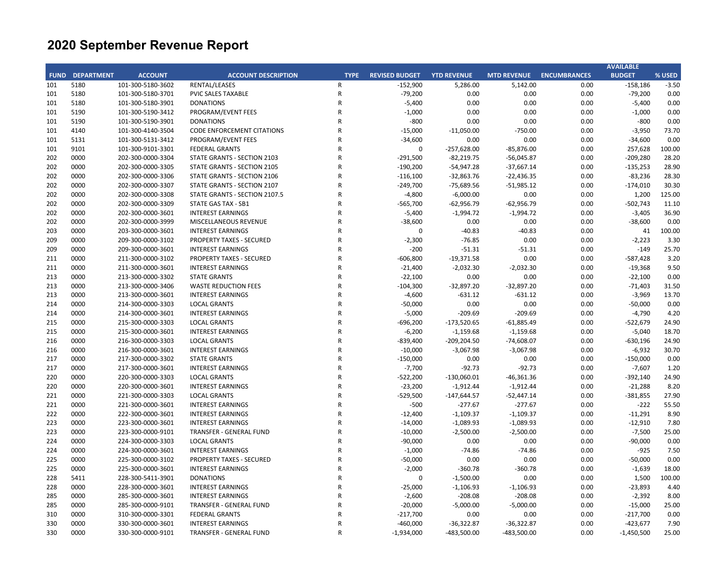|     |                        |                   |                                   |                |                       |                    |                    |                     | <b>AVAILABLE</b> |         |
|-----|------------------------|-------------------|-----------------------------------|----------------|-----------------------|--------------------|--------------------|---------------------|------------------|---------|
|     | <b>FUND DEPARTMENT</b> | <b>ACCOUNT</b>    | <b>ACCOUNT DESCRIPTION</b>        | <b>TYPE</b>    | <b>REVISED BUDGET</b> | <b>YTD REVENUE</b> | <b>MTD REVENUE</b> | <b>ENCUMBRANCES</b> | <b>BUDGET</b>    | % USED  |
| 101 | 5180                   | 101-300-5180-3602 | RENTAL/LEASES                     | R              | $-152,900$            | 5,286.00           | 5,142.00           | 0.00                | $-158,186$       | $-3.50$ |
| 101 | 5180                   | 101-300-5180-3701 | <b>PVIC SALES TAXABLE</b>         | $\mathsf R$    | $-79,200$             | 0.00               | 0.00               | 0.00                | $-79,200$        | 0.00    |
| 101 | 5180                   | 101-300-5180-3901 | <b>DONATIONS</b>                  | $\mathsf{R}$   | $-5,400$              | 0.00               | 0.00               | 0.00                | $-5,400$         | 0.00    |
| 101 | 5190                   | 101-300-5190-3412 | PROGRAM/EVENT FEES                | $\mathsf{R}$   | $-1,000$              | 0.00               | 0.00               | 0.00                | $-1,000$         | 0.00    |
| 101 | 5190                   | 101-300-5190-3901 | <b>DONATIONS</b>                  | $\mathsf R$    | $-800$                | 0.00               | 0.00               | 0.00                | $-800$           | 0.00    |
| 101 | 4140                   | 101-300-4140-3504 | <b>CODE ENFORCEMENT CITATIONS</b> | $\mathsf R$    | $-15,000$             | $-11,050.00$       | $-750.00$          | 0.00                | $-3,950$         | 73.70   |
| 101 | 5131                   | 101-300-5131-3412 | PROGRAM/EVENT FEES                | $\mathsf{R}$   | $-34,600$             | 0.00               | 0.00               | 0.00                | $-34,600$        | 0.00    |
| 101 | 9101                   | 101-300-9101-3301 | <b>FEDERAL GRANTS</b>             | $\mathsf{R}$   | $\Omega$              | $-257,628.00$      | $-85,876.00$       | 0.00                | 257,628          | 100.00  |
| 202 | 0000                   | 202-300-0000-3304 | STATE GRANTS - SECTION 2103       | $\overline{R}$ | $-291,500$            | $-82,219.75$       | $-56,045.87$       | 0.00                | $-209,280$       | 28.20   |
| 202 | 0000                   | 202-300-0000-3305 | STATE GRANTS - SECTION 2105       | $\overline{R}$ | $-190,200$            | $-54,947.28$       | $-37,667.14$       | 0.00                | $-135,253$       | 28.90   |
| 202 | 0000                   | 202-300-0000-3306 | STATE GRANTS - SECTION 2106       | $\overline{R}$ | $-116,100$            | $-32,863.76$       | $-22,436.35$       | 0.00                | $-83,236$        | 28.30   |
| 202 | 0000                   | 202-300-0000-3307 | STATE GRANTS - SECTION 2107       | $\mathsf{R}$   | $-249,700$            | $-75,689.56$       | $-51,985.12$       | 0.00                | $-174,010$       | 30.30   |
| 202 | 0000                   | 202-300-0000-3308 | STATE GRANTS - SECTION 2107.5     | $\mathsf{R}$   | $-4,800$              | $-6,000.00$        | 0.00               | 0.00                | 1,200            | 125.00  |
| 202 | 0000                   | 202-300-0000-3309 | STATE GAS TAX - SB1               | $\mathsf R$    | $-565,700$            | $-62,956.79$       | $-62,956.79$       | 0.00                | $-502,743$       | 11.10   |
| 202 | 0000                   | 202-300-0000-3601 | <b>INTEREST EARNINGS</b>          | $\mathsf{R}$   | $-5,400$              | $-1,994.72$        | $-1,994.72$        | 0.00                | $-3,405$         | 36.90   |
| 202 | 0000                   | 202-300-0000-3999 | MISCELLANEOUS REVENUE             | $\mathsf R$    | $-38,600$             | 0.00               | 0.00               | 0.00                | $-38,600$        | 0.00    |
| 203 | 0000                   | 203-300-0000-3601 | <b>INTEREST EARNINGS</b>          | $\mathsf{R}$   | $\Omega$              | $-40.83$           | $-40.83$           | 0.00                | 41               | 100.00  |
| 209 | 0000                   | 209-300-0000-3102 | PROPERTY TAXES - SECURED          | $\overline{R}$ | $-2,300$              | $-76.85$           | 0.00               | 0.00                | $-2,223$         | 3.30    |
| 209 | 0000                   | 209-300-0000-3601 | <b>INTEREST EARNINGS</b>          | $\mathsf{R}$   | $-200$                | $-51.31$           | $-51.31$           | 0.00                | $-149$           | 25.70   |
| 211 | 0000                   | 211-300-0000-3102 | <b>PROPERTY TAXES - SECURED</b>   | $\overline{R}$ | $-606,800$            | $-19,371.58$       | 0.00               | 0.00                | $-587,428$       | 3.20    |
| 211 | 0000                   | 211-300-0000-3601 | <b>INTEREST EARNINGS</b>          | $\overline{R}$ | $-21,400$             | $-2,032.30$        | $-2,032.30$        | 0.00                | $-19,368$        | 9.50    |
| 213 | 0000                   | 213-300-0000-3302 | <b>STATE GRANTS</b>               | $\overline{R}$ | $-22,100$             | 0.00               | 0.00               | 0.00                | $-22,100$        | 0.00    |
| 213 | 0000                   | 213-300-0000-3406 | <b>WASTE REDUCTION FEES</b>       | $\mathsf R$    | $-104,300$            | $-32,897.20$       | $-32,897.20$       | 0.00                | $-71,403$        | 31.50   |
| 213 | 0000                   | 213-300-0000-3601 | <b>INTEREST EARNINGS</b>          | $\mathsf R$    | $-4,600$              | $-631.12$          | $-631.12$          | 0.00                | $-3,969$         | 13.70   |
| 214 | 0000                   | 214-300-0000-3303 | <b>LOCAL GRANTS</b>               | $\overline{R}$ | $-50,000$             | 0.00               | 0.00               | 0.00                | $-50,000$        | 0.00    |
| 214 | 0000                   | 214-300-0000-3601 | <b>INTEREST EARNINGS</b>          | $\overline{R}$ | $-5,000$              | $-209.69$          | $-209.69$          | 0.00                | $-4,790$         | 4.20    |
| 215 | 0000                   | 215-300-0000-3303 | <b>LOCAL GRANTS</b>               | $\overline{R}$ | $-696,200$            | $-173,520.65$      | $-61,885.49$       | 0.00                | $-522,679$       | 24.90   |
| 215 | 0000                   | 215-300-0000-3601 | <b>INTEREST EARNINGS</b>          | $\mathsf{R}$   | $-6,200$              | $-1,159.68$        | $-1,159.68$        | 0.00                | $-5,040$         | 18.70   |
| 216 | 0000                   | 216-300-0000-3303 | <b>LOCAL GRANTS</b>               | $\overline{R}$ | $-839,400$            | $-209, 204.50$     | $-74,608.07$       | 0.00                | $-630,196$       | 24.90   |
| 216 | 0000                   | 216-300-0000-3601 | <b>INTEREST EARNINGS</b>          | $\overline{R}$ | $-10,000$             | $-3,067.98$        | $-3,067.98$        | 0.00                | $-6,932$         | 30.70   |
| 217 | 0000                   | 217-300-0000-3302 | <b>STATE GRANTS</b>               | $\mathsf{R}$   | $-150,000$            | 0.00               | 0.00               | 0.00                | $-150,000$       | 0.00    |
| 217 | 0000                   | 217-300-0000-3601 | <b>INTEREST EARNINGS</b>          | $\mathsf R$    | $-7,700$              | $-92.73$           | $-92.73$           | 0.00                | $-7,607$         | 1.20    |
| 220 | 0000                   | 220-300-0000-3303 | <b>LOCAL GRANTS</b>               | $\mathsf R$    | $-522,200$            | $-130,060.01$      | $-46,361.36$       | 0.00                | $-392,140$       | 24.90   |
| 220 | 0000                   | 220-300-0000-3601 | <b>INTEREST EARNINGS</b>          | $\mathsf R$    | $-23,200$             | $-1,912.44$        | $-1,912.44$        | 0.00                | $-21,288$        | 8.20    |
| 221 | 0000                   | 221-300-0000-3303 | <b>LOCAL GRANTS</b>               | $\overline{R}$ | $-529,500$            | $-147,644.57$      | $-52,447.14$       | 0.00                | $-381,855$       | 27.90   |
| 221 | 0000                   | 221-300-0000-3601 | <b>INTEREST EARNINGS</b>          | $\mathsf{R}$   | $-500$                | $-277.67$          | $-277.67$          | 0.00                | $-222$           | 55.50   |
| 222 | 0000                   | 222-300-0000-3601 | <b>INTEREST EARNINGS</b>          | $\mathsf{R}$   | $-12,400$             | $-1,109.37$        | $-1,109.37$        | 0.00                | $-11,291$        | 8.90    |
| 223 | 0000                   | 223-300-0000-3601 | <b>INTEREST EARNINGS</b>          | $\overline{R}$ | $-14,000$             | $-1,089.93$        | $-1,089.93$        | 0.00                | $-12,910$        | 7.80    |
| 223 | 0000                   | 223-300-0000-9101 | TRANSFER - GENERAL FUND           | $\mathsf{R}$   | $-10,000$             | $-2,500.00$        | $-2,500.00$        | 0.00                | $-7,500$         | 25.00   |
| 224 | 0000                   | 224-300-0000-3303 | <b>LOCAL GRANTS</b>               | $\mathsf{R}$   | $-90,000$             | 0.00               | 0.00               | 0.00                | $-90,000$        | 0.00    |
| 224 | 0000                   | 224-300-0000-3601 | <b>INTEREST EARNINGS</b>          | $\mathsf R$    | $-1,000$              | $-74.86$           | $-74.86$           | 0.00                | $-925$           | 7.50    |
| 225 | 0000                   | 225-300-0000-3102 | <b>PROPERTY TAXES - SECURED</b>   | $\mathsf R$    | $-50,000$             | 0.00               | 0.00               | 0.00                | $-50,000$        | 0.00    |
| 225 | 0000                   | 225-300-0000-3601 | <b>INTEREST EARNINGS</b>          | $\mathsf{R}$   | $-2,000$              | $-360.78$          | $-360.78$          | 0.00                | $-1,639$         | 18.00   |
| 228 | 5411                   | 228-300-5411-3901 | <b>DONATIONS</b>                  | $\mathsf{R}$   | 0                     | $-1,500.00$        | 0.00               | 0.00                | 1,500            | 100.00  |
| 228 | 0000                   | 228-300-0000-3601 | <b>INTEREST EARNINGS</b>          | $\overline{R}$ | $-25,000$             | $-1,106.93$        | $-1,106.93$        | 0.00                | $-23,893$        | 4.40    |
| 285 | 0000                   | 285-300-0000-3601 | <b>INTEREST EARNINGS</b>          | $\mathsf{R}$   | $-2,600$              | $-208.08$          | $-208.08$          | 0.00                | $-2,392$         | 8.00    |
| 285 | 0000                   | 285-300-0000-9101 | TRANSFER - GENERAL FUND           | $\overline{R}$ | $-20,000$             | $-5,000.00$        | $-5,000.00$        | 0.00                | $-15,000$        | 25.00   |
| 310 | 0000                   | 310-300-0000-3301 | <b>FEDERAL GRANTS</b>             | $\overline{R}$ | $-217,700$            | 0.00               | 0.00               | 0.00                | $-217,700$       | 0.00    |
| 330 | 0000                   | 330-300-0000-3601 | <b>INTEREST EARNINGS</b>          | $\mathsf{R}$   | $-460,000$            | $-36,322.87$       | $-36,322.87$       | 0.00                | $-423,677$       | 7.90    |
| 330 | 0000                   | 330-300-0000-9101 | TRANSFER - GENERAL FUND           | $\mathsf{R}$   | $-1,934,000$          | $-483,500.00$      | $-483,500.00$      | 0.00                | $-1,450,500$     | 25.00   |
|     |                        |                   |                                   |                |                       |                    |                    |                     |                  |         |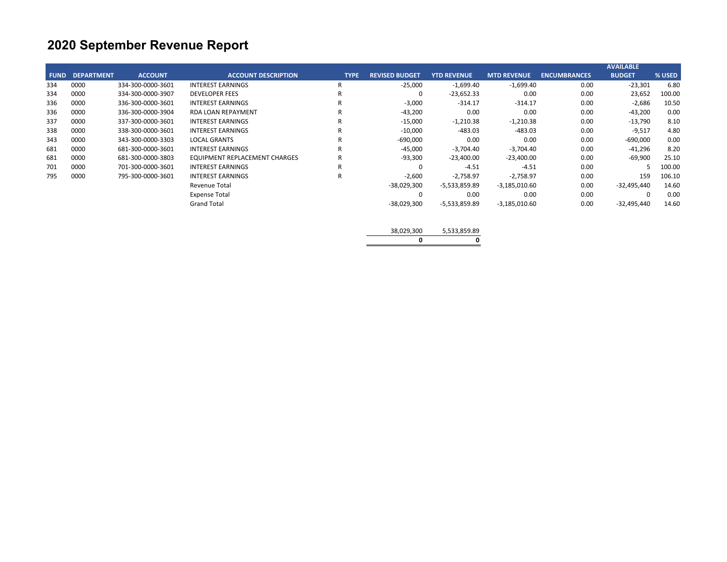|             |                   |                   |                               |             |                       |                    |                    |                     | <b>AVAILABLE</b> |        |
|-------------|-------------------|-------------------|-------------------------------|-------------|-----------------------|--------------------|--------------------|---------------------|------------------|--------|
| <b>FUND</b> | <b>DEPARTMENT</b> | <b>ACCOUNT</b>    | <b>ACCOUNT DESCRIPTION</b>    | <b>TYPE</b> | <b>REVISED BUDGET</b> | <b>YTD REVENUE</b> | <b>MTD REVENUE</b> | <b>ENCUMBRANCES</b> | <b>BUDGET</b>    | % USED |
| 334         | 0000              | 334-300-0000-3601 | <b>INTEREST EARNINGS</b>      | -R          | $-25,000$             | $-1,699.40$        | $-1,699.40$        | 0.00                | $-23,301$        | 6.80   |
| 334         | 0000              | 334-300-0000-3907 | <b>DEVELOPER FEES</b>         | R           | $\Omega$              | $-23,652.33$       | 0.00               | 0.00                | 23,652           | 100.00 |
| 336         | 0000              | 336-300-0000-3601 | <b>INTEREST EARNINGS</b>      | R           | $-3,000$              | $-314.17$          | $-314.17$          | 0.00                | $-2,686$         | 10.50  |
| 336         | 0000              | 336-300-0000-3904 | <b>RDA LOAN REPAYMENT</b>     | R           | $-43,200$             | 0.00               | 0.00               | 0.00                | $-43,200$        | 0.00   |
| 337         | 0000              | 337-300-0000-3601 | <b>INTEREST EARNINGS</b>      | R           | $-15,000$             | $-1,210.38$        | $-1,210.38$        | 0.00                | -13,790          | 8.10   |
| 338         | 0000              | 338-300-0000-3601 | <b>INTEREST EARNINGS</b>      | R           | $-10,000$             | $-483.03$          | $-483.03$          | 0.00                | $-9,517$         | 4.80   |
| 343         | 0000              | 343-300-0000-3303 | <b>LOCAL GRANTS</b>           | R           | $-690,000$            | 0.00               | 0.00               | 0.00                | $-690,000$       | 0.00   |
| 681         | 0000              | 681-300-0000-3601 | <b>INTEREST EARNINGS</b>      | R           | $-45,000$             | $-3,704.40$        | $-3.704.40$        | 0.00                | -41,296          | 8.20   |
| 681         | 0000              | 681-300-0000-3803 | EQUIPMENT REPLACEMENT CHARGES | R           | $-93,300$             | $-23,400.00$       | $-23,400.00$       | 0.00                | -69,900          | 25.10  |
| 701         | 0000              | 701-300-0000-3601 | <b>INTEREST EARNINGS</b>      | R           |                       | $-4.51$            | $-4.51$            | 0.00                |                  | 100.00 |
| 795         | 0000              | 795-300-0000-3601 | <b>INTEREST EARNINGS</b>      | R           | $-2,600$              | $-2.758.97$        | $-2.758.97$        | 0.00                | 159              | 106.10 |
|             |                   |                   | Revenue Total                 |             | $-38,029,300$         | -5,533,859.89      | $-3,185,010.60$    | 0.00                | $-32,495,440$    | 14.60  |
|             |                   |                   | <b>Expense Total</b>          |             | 0                     | 0.00               | 0.00               | 0.00                |                  | 0.00   |
|             |                   |                   | <b>Grand Total</b>            |             | $-38,029,300$         | -5,533,859.89      | $-3,185,010.60$    | 0.00                | $-32,495,440$    | 14.60  |

| 38,029,300 | 5,533,859.89 |
|------------|--------------|
|            |              |
|            |              |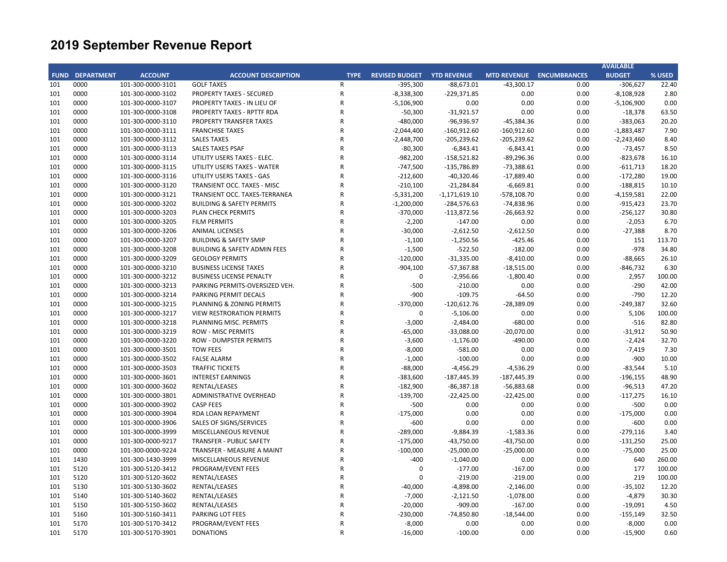| <b>FUND DEPARTMENT</b><br><b>ACCOUNT</b><br><b>ACCOUNT DESCRIPTION</b><br><b>REVISED BUDGET YTD REVENUE</b><br><b>MTD REVENUE ENCUMBRANCES</b><br><b>BUDGET</b><br>% USED<br><b>TYPE</b><br>0000<br>101-300-0000-3101<br><b>GOLF TAXES</b><br>$\mathsf R$<br>$-395,300$<br>$-88,673.01$<br>$-43,300.17$<br>0.00<br>$-306,627$<br>22.40<br>101<br>0000<br>101-300-0000-3102<br><b>PROPERTY TAXES - SECURED</b><br>$\mathsf{R}$<br>$-8,338,300$<br>$-229,371.85$<br>0.00<br>0.00<br>$-8,108,928$<br>2.80<br>101<br>0000<br>PROPERTY TAXES - IN LIEU OF<br>${\sf R}$<br>$-5,106,900$<br>0.00<br>0.00<br>$-5,106,900$<br>0.00<br>101<br>101-300-0000-3107<br>0.00<br>0000<br>${\sf R}$<br>101<br>101-300-0000-3108<br>PROPERTY TAXES - RPTTF RDA<br>$-50,300$<br>$-31,921.57$<br>0.00<br>0.00<br>$-18,378$<br>63.50<br>0000<br>$\mathsf{R}$<br>$-480,000$<br>-96,936.97<br>0.00<br>$-383,063$<br>20.20<br>101<br>101-300-0000-3110<br><b>PROPERTY TRANSFER TAXES</b><br>$-45,384.36$<br>0000<br>$-160,912.60$<br>0.00<br>101<br>101-300-0000-3111<br><b>FRANCHISE TAXES</b><br>R<br>$-2,044,400$<br>$-160,912.60$<br>$-1,883,487$<br>7.90<br>0000<br>101-300-0000-3112<br>$\mathsf{R}$<br>$-205,239.62$<br>$-205,239.62$<br>0.00<br>8.40<br>101<br><b>SALES TAXES</b><br>$-2,448,700$<br>$-2,243,460$<br>101<br>0000<br>101-300-0000-3113<br><b>SALES TAXES PSAF</b><br>R<br>$-80,300$<br>$-6,843.41$<br>$-6,843.41$<br>0.00<br>$-73,457$<br>8.50<br>0000<br>101-300-0000-3114<br>UTILITY USERS TAXES - ELEC.<br>$\mathsf{R}$<br>$-982,200$<br>$-158,521.82$<br>$-89,296.36$<br>0.00<br>$-823,678$<br>101<br>16.10<br>101<br>0000<br>101-300-0000-3115<br>UTILITY USERS TAXES - WATER<br>$\mathsf R$<br>$-747,500$<br>$-135,786.89$<br>$-73,388.61$<br>0.00<br>$-611,713$<br>18.20<br>0000<br>101-300-0000-3116<br>UTILITY USERS TAXES - GAS<br>$\mathsf{R}$<br>$-212,600$<br>$-40,320.46$<br>$-17,889.40$<br>0.00<br>$-172,280$<br>19.00<br>101<br>0000<br>101-300-0000-3120<br>R<br>$-210,100$<br>$-21,284.84$<br>$-6,669.81$<br>0.00<br>$-188,815$<br>10.10<br>101<br>TRANSIENT OCC. TAXES - MISC<br>0000<br>101<br>101-300-0000-3121<br>TRANSIENT OCC. TAXES-TERRANEA<br>R<br>$-5,331,200$<br>$-1,171,619.10$<br>$-578,108.70$<br>0.00<br>$-4,159,581$<br>22.00<br>0000<br>$\mathsf{R}$<br>$-74,838.96$<br>0.00<br>23.70<br>101<br>101-300-0000-3202<br><b>BUILDING &amp; SAFETY PERMITS</b><br>$-1,200,000$<br>$-284,576.63$<br>$-915.423$<br>0000<br>${\sf R}$<br>0.00<br>101<br>101-300-0000-3203<br>PLAN CHECK PERMITS<br>$-370,000$<br>$-113,872.56$<br>$-26,663.92$<br>$-256,127$<br>30.80<br>101<br>0000<br>101-300-0000-3205<br><b>FILM PERMITS</b><br>${\sf R}$<br>$-2,200$<br>$-147.00$<br>0.00<br>0.00<br>$-2,053$<br>6.70<br>0000<br>101-300-0000-3206<br><b>ANIMAL LICENSES</b><br>R<br>$-30,000$<br>$-2,612.50$<br>$-2,612.50$<br>0.00<br>$-27,388$<br>8.70<br>101<br>0000<br>$\mathsf{R}$<br>$-1,100$<br>$-425.46$<br>0.00<br>113.70<br>101<br>101-300-0000-3207<br><b>BUILDING &amp; SAFETY SMIP</b><br>$-1,250.56$<br>151<br>0000<br>${\sf R}$<br>$-182.00$<br>0.00<br>$-978$<br>101<br>101-300-0000-3208<br><b>BUILDING &amp; SAFETY ADMIN FEES</b><br>$-1,500$<br>$-522.50$<br>34.80<br>0000<br>101-300-0000-3209<br><b>GEOLOGY PERMITS</b><br>$\mathsf{R}$<br>$-120,000$<br>$-8,410.00$<br>0.00<br>$-88,665$<br>26.10<br>101<br>$-31,335.00$<br>0000<br>101-300-0000-3210<br>R<br>$-904,100$<br>0.00<br>$-846,732$<br>6.30<br>101<br><b>BUSINESS LICENSE TAXES</b><br>$-57,367.88$<br>$-18,515.00$<br>0000<br>101<br>101-300-0000-3212<br><b>BUSINESS LICENSE PENALTY</b><br>$\mathsf{R}$<br>$\mathbf 0$<br>$-2,956.66$<br>$-1,800.40$<br>0.00<br>2,957<br>100.00<br>0000<br>${\sf R}$<br>$-500$<br>0.00<br>$-290$<br>42.00<br>101<br>101-300-0000-3213<br>PARKING PERMITS-OVERSIZED VEH.<br>$-210.00$<br>0.00<br>0000<br>$-900$<br>0.00<br>$-790$<br>12.20<br>101<br>101-300-0000-3214<br>PARKING PERMIT DECALS<br>$\mathsf{R}$<br>$-109.75$<br>$-64.50$<br>101<br>0000<br>101-300-0000-3215<br>${\sf R}$<br>$-370,000$<br>$-120,612.76$<br>$-28,389.09$<br>0.00<br>$-249,387$<br>32.60<br>PLANNING & ZONING PERMITS<br>101<br>0000<br>101-300-0000-3217<br><b>VIEW RESTRORATION PERMITS</b><br>R<br>$\mathbf 0$<br>$-5,106.00$<br>0.00<br>0.00<br>5,106<br>100.00<br>0000<br>$\mathsf{R}$<br>$-680.00$<br>0.00<br>82.80<br>101<br>101-300-0000-3218<br>PLANNING MISC. PERMITS<br>$-3,000$<br>$-2,484.00$<br>$-516$<br>50.90<br>101<br>0000<br>101-300-0000-3219<br><b>ROW - MISC PERMITS</b><br>R<br>$-65,000$<br>$-33,088.00$<br>$-20,070.00$<br>0.00<br>$-31,912$<br>101<br>0000<br>101-300-0000-3220<br><b>ROW - DUMPSTER PERMITS</b><br>$\mathsf{R}$<br>$-3,600$<br>$-1,176.00$<br>$-490.00$<br>0.00<br>$-2,424$<br>32.70<br>0000<br>101-300-0000-3501<br><b>TOW FEES</b><br>R<br>$-8,000$<br>0.00<br>0.00<br>$-7,419$<br>7.30<br>101<br>$-581.00$<br>0000<br>$-900$<br>101<br>101-300-0000-3502<br><b>FALSE ALARM</b><br>R<br>$-1,000$<br>$-100.00$<br>0.00<br>0.00<br>10.00<br>0000<br>${\sf R}$<br>$-88,000$<br>0.00<br>5.10<br>101<br>101-300-0000-3503<br><b>TRAFFIC TICKETS</b><br>-4,456.29<br>$-4,536.29$<br>$-83,544$<br>0000<br>$\mathsf{R}$<br>0.00<br>101<br>101-300-0000-3601<br><b>INTEREST EARNINGS</b><br>$-383,600$<br>$-187,445.39$<br>$-187,445.39$<br>$-196,155$<br>48.90<br>101<br>0000<br>101-300-0000-3602<br>RENTAL/LEASES<br>${\sf R}$<br>$-182,900$<br>$-86,387.18$<br>$-56,883.68$<br>0.00<br>$-96,513$<br>47.20<br>101<br>0000<br>101-300-0000-3801<br>ADMINISTRATIVE OVERHEAD<br>R<br>$-139,700$<br>$-22,425.00$<br>$-22,425.00$<br>0.00<br>$-117,275$<br>16.10<br>0000<br>$\mathsf{R}$<br>$-500$<br>0.00<br>0.00<br>$-500$<br>0.00<br>101<br>101-300-0000-3902<br><b>CASP FEES</b><br>0.00<br>0000<br>101<br>101-300-0000-3904<br>RDA LOAN REPAYMENT<br>$\mathsf R$<br>$-175,000$<br>0.00<br>0.00<br>0.00<br>$-175,000$<br>0.00<br>101<br>0000<br>101-300-0000-3906<br><b>SALES OF SIGNS/SERVICES</b><br>$\mathsf{R}$<br>$-600$<br>0.00<br>0.00<br>0.00<br>$-600$<br>0.00<br>101<br>0000<br>101-300-0000-3999<br>MISCELLANEOUS REVENUE<br>R<br>$-289,000$<br>0.00<br>$-279,116$<br>3.40<br>$-9,884.39$<br>$-1,583.36$<br>0000<br>101<br>101-300-0000-9217<br><b>TRANSFER - PUBLIC SAFETY</b><br>R<br>$-175,000$<br>$-43,750.00$<br>$-43,750.00$<br>0.00<br>$-131,250$<br>25.00<br>0000<br>101-300-0000-9224<br>R<br>$-100,000$<br>$-25,000.00$<br>$-25,000.00$<br>0.00<br>$-75,000$<br>25.00<br>101<br>TRANSFER - MEASURE A MAINT<br>$-400$<br>0.00<br>101<br>1430<br>101-300-1430-3999<br>MISCELLANEOUS REVENUE<br>R<br>$-1,040.00$<br>0.00<br>640<br>260.00<br>100.00<br>101<br>5120<br>101-300-5120-3412<br>PROGRAM/EVENT FEES<br>R<br>$\mathbf 0$<br>$-177.00$<br>$-167.00$<br>0.00<br>177<br>100.00<br>101<br>5120<br>101-300-5120-3602<br>RENTAL/LEASES<br>R<br>$\mathbf 0$<br>$-219.00$<br>$-219.00$<br>0.00<br>219<br>5130<br>RENTAL/LEASES<br>$\mathsf{R}$<br>$-2,146.00$<br>0.00<br>$-35,102$<br>12.20<br>101<br>101-300-5130-3602<br>$-40,000$<br>-4,898.00<br>101<br>5140<br>RENTAL/LEASES<br>$\mathsf R$<br>$-7,000$<br>$-2,121.50$<br>$-1,078.00$<br>0.00<br>$-4,879$<br>30.30<br>101-300-5140-3602<br>5150<br>RENTAL/LEASES<br>$\mathsf{R}$<br>$-20,000$<br>$-909.00$<br>$-167.00$<br>0.00<br>$-19,091$<br>4.50<br>101<br>101-300-5150-3602<br>5160<br>101-300-5160-3411<br>PARKING LOT FEES<br>R<br>$-230,000$<br>$-74,850.80$<br>$-18,544.00$<br>0.00<br>$-155,149$<br>32.50<br>101<br>5170<br>$-8,000$<br>0.00<br>0.00<br>0.00<br>$-8,000$<br>101<br>101-300-5170-3412<br>PROGRAM/EVENT FEES<br>$\mathsf{R}$<br>0.00<br>5170<br>$\mathsf{R}$ |     |                   |                  |           |           |      |      | <b>AVAILABLE</b> |      |
|------------------------------------------------------------------------------------------------------------------------------------------------------------------------------------------------------------------------------------------------------------------------------------------------------------------------------------------------------------------------------------------------------------------------------------------------------------------------------------------------------------------------------------------------------------------------------------------------------------------------------------------------------------------------------------------------------------------------------------------------------------------------------------------------------------------------------------------------------------------------------------------------------------------------------------------------------------------------------------------------------------------------------------------------------------------------------------------------------------------------------------------------------------------------------------------------------------------------------------------------------------------------------------------------------------------------------------------------------------------------------------------------------------------------------------------------------------------------------------------------------------------------------------------------------------------------------------------------------------------------------------------------------------------------------------------------------------------------------------------------------------------------------------------------------------------------------------------------------------------------------------------------------------------------------------------------------------------------------------------------------------------------------------------------------------------------------------------------------------------------------------------------------------------------------------------------------------------------------------------------------------------------------------------------------------------------------------------------------------------------------------------------------------------------------------------------------------------------------------------------------------------------------------------------------------------------------------------------------------------------------------------------------------------------------------------------------------------------------------------------------------------------------------------------------------------------------------------------------------------------------------------------------------------------------------------------------------------------------------------------------------------------------------------------------------------------------------------------------------------------------------------------------------------------------------------------------------------------------------------------------------------------------------------------------------------------------------------------------------------------------------------------------------------------------------------------------------------------------------------------------------------------------------------------------------------------------------------------------------------------------------------------------------------------------------------------------------------------------------------------------------------------------------------------------------------------------------------------------------------------------------------------------------------------------------------------------------------------------------------------------------------------------------------------------------------------------------------------------------------------------------------------------------------------------------------------------------------------------------------------------------------------------------------------------------------------------------------------------------------------------------------------------------------------------------------------------------------------------------------------------------------------------------------------------------------------------------------------------------------------------------------------------------------------------------------------------------------------------------------------------------------------------------------------------------------------------------------------------------------------------------------------------------------------------------------------------------------------------------------------------------------------------------------------------------------------------------------------------------------------------------------------------------------------------------------------------------------------------------------------------------------------------------------------------------------------------------------------------------------------------------------------------------------------------------------------------------------------------------------------------------------------------------------------------------------------------------------------------------------------------------------------------------------------------------------------------------------------------------------------------------------------------------------------------------------------------------------------------------------------------------------------------------------------------------------------------------------------------------------------------------------------------------------------------------------------------------------------------------------------------------------------------------------------------------------------------------------------------------------------------------------------------------------------------------------------------------------------------------------------------------------------------------------------------------------------------------------------------------------------------------------------------------------------------------------------------------------------------------------------------------------------------------------------------------------------------------------------------------------------------------------------------------------------------------------------------------------------------------------------------------------------------------------------------------------------------------------------------------------------------------------------------------------------------------------------------------------------------------------------------------------------------------------------------------------------------------------------------------------------------------------------------------------------------------------------------------------------------------------------------------------------------------------------------------------------------------------------------------------------------------------------------------------------------------------------------------------------------------------------|-----|-------------------|------------------|-----------|-----------|------|------|------------------|------|
|                                                                                                                                                                                                                                                                                                                                                                                                                                                                                                                                                                                                                                                                                                                                                                                                                                                                                                                                                                                                                                                                                                                                                                                                                                                                                                                                                                                                                                                                                                                                                                                                                                                                                                                                                                                                                                                                                                                                                                                                                                                                                                                                                                                                                                                                                                                                                                                                                                                                                                                                                                                                                                                                                                                                                                                                                                                                                                                                                                                                                                                                                                                                                                                                                                                                                                                                                                                                                                                                                                                                                                                                                                                                                                                                                                                                                                                                                                                                                                                                                                                                                                                                                                                                                                                                                                                                                                                                                                                                                                                                                                                                                                                                                                                                                                                                                                                                                                                                                                                                                                                                                                                                                                                                                                                                                                                                                                                                                                                                                                                                                                                                                                                                                                                                                                                                                                                                                                                                                                                                                                                                                                                                                                                                                                                                                                                                                                                                                                                                                                                                                                                                                                                                                                                                                                                                                                                                                                                                                                                                                                                                                                                                                                                                                                                                                                                                                                                                                                                                                                                                                                                                                        |     |                   |                  |           |           |      |      |                  |      |
|                                                                                                                                                                                                                                                                                                                                                                                                                                                                                                                                                                                                                                                                                                                                                                                                                                                                                                                                                                                                                                                                                                                                                                                                                                                                                                                                                                                                                                                                                                                                                                                                                                                                                                                                                                                                                                                                                                                                                                                                                                                                                                                                                                                                                                                                                                                                                                                                                                                                                                                                                                                                                                                                                                                                                                                                                                                                                                                                                                                                                                                                                                                                                                                                                                                                                                                                                                                                                                                                                                                                                                                                                                                                                                                                                                                                                                                                                                                                                                                                                                                                                                                                                                                                                                                                                                                                                                                                                                                                                                                                                                                                                                                                                                                                                                                                                                                                                                                                                                                                                                                                                                                                                                                                                                                                                                                                                                                                                                                                                                                                                                                                                                                                                                                                                                                                                                                                                                                                                                                                                                                                                                                                                                                                                                                                                                                                                                                                                                                                                                                                                                                                                                                                                                                                                                                                                                                                                                                                                                                                                                                                                                                                                                                                                                                                                                                                                                                                                                                                                                                                                                                                                        |     |                   |                  |           |           |      |      |                  |      |
|                                                                                                                                                                                                                                                                                                                                                                                                                                                                                                                                                                                                                                                                                                                                                                                                                                                                                                                                                                                                                                                                                                                                                                                                                                                                                                                                                                                                                                                                                                                                                                                                                                                                                                                                                                                                                                                                                                                                                                                                                                                                                                                                                                                                                                                                                                                                                                                                                                                                                                                                                                                                                                                                                                                                                                                                                                                                                                                                                                                                                                                                                                                                                                                                                                                                                                                                                                                                                                                                                                                                                                                                                                                                                                                                                                                                                                                                                                                                                                                                                                                                                                                                                                                                                                                                                                                                                                                                                                                                                                                                                                                                                                                                                                                                                                                                                                                                                                                                                                                                                                                                                                                                                                                                                                                                                                                                                                                                                                                                                                                                                                                                                                                                                                                                                                                                                                                                                                                                                                                                                                                                                                                                                                                                                                                                                                                                                                                                                                                                                                                                                                                                                                                                                                                                                                                                                                                                                                                                                                                                                                                                                                                                                                                                                                                                                                                                                                                                                                                                                                                                                                                                                        |     |                   |                  |           |           |      |      |                  |      |
|                                                                                                                                                                                                                                                                                                                                                                                                                                                                                                                                                                                                                                                                                                                                                                                                                                                                                                                                                                                                                                                                                                                                                                                                                                                                                                                                                                                                                                                                                                                                                                                                                                                                                                                                                                                                                                                                                                                                                                                                                                                                                                                                                                                                                                                                                                                                                                                                                                                                                                                                                                                                                                                                                                                                                                                                                                                                                                                                                                                                                                                                                                                                                                                                                                                                                                                                                                                                                                                                                                                                                                                                                                                                                                                                                                                                                                                                                                                                                                                                                                                                                                                                                                                                                                                                                                                                                                                                                                                                                                                                                                                                                                                                                                                                                                                                                                                                                                                                                                                                                                                                                                                                                                                                                                                                                                                                                                                                                                                                                                                                                                                                                                                                                                                                                                                                                                                                                                                                                                                                                                                                                                                                                                                                                                                                                                                                                                                                                                                                                                                                                                                                                                                                                                                                                                                                                                                                                                                                                                                                                                                                                                                                                                                                                                                                                                                                                                                                                                                                                                                                                                                                                        |     |                   |                  |           |           |      |      |                  |      |
|                                                                                                                                                                                                                                                                                                                                                                                                                                                                                                                                                                                                                                                                                                                                                                                                                                                                                                                                                                                                                                                                                                                                                                                                                                                                                                                                                                                                                                                                                                                                                                                                                                                                                                                                                                                                                                                                                                                                                                                                                                                                                                                                                                                                                                                                                                                                                                                                                                                                                                                                                                                                                                                                                                                                                                                                                                                                                                                                                                                                                                                                                                                                                                                                                                                                                                                                                                                                                                                                                                                                                                                                                                                                                                                                                                                                                                                                                                                                                                                                                                                                                                                                                                                                                                                                                                                                                                                                                                                                                                                                                                                                                                                                                                                                                                                                                                                                                                                                                                                                                                                                                                                                                                                                                                                                                                                                                                                                                                                                                                                                                                                                                                                                                                                                                                                                                                                                                                                                                                                                                                                                                                                                                                                                                                                                                                                                                                                                                                                                                                                                                                                                                                                                                                                                                                                                                                                                                                                                                                                                                                                                                                                                                                                                                                                                                                                                                                                                                                                                                                                                                                                                                        |     |                   |                  |           |           |      |      |                  |      |
|                                                                                                                                                                                                                                                                                                                                                                                                                                                                                                                                                                                                                                                                                                                                                                                                                                                                                                                                                                                                                                                                                                                                                                                                                                                                                                                                                                                                                                                                                                                                                                                                                                                                                                                                                                                                                                                                                                                                                                                                                                                                                                                                                                                                                                                                                                                                                                                                                                                                                                                                                                                                                                                                                                                                                                                                                                                                                                                                                                                                                                                                                                                                                                                                                                                                                                                                                                                                                                                                                                                                                                                                                                                                                                                                                                                                                                                                                                                                                                                                                                                                                                                                                                                                                                                                                                                                                                                                                                                                                                                                                                                                                                                                                                                                                                                                                                                                                                                                                                                                                                                                                                                                                                                                                                                                                                                                                                                                                                                                                                                                                                                                                                                                                                                                                                                                                                                                                                                                                                                                                                                                                                                                                                                                                                                                                                                                                                                                                                                                                                                                                                                                                                                                                                                                                                                                                                                                                                                                                                                                                                                                                                                                                                                                                                                                                                                                                                                                                                                                                                                                                                                                                        |     |                   |                  |           |           |      |      |                  |      |
|                                                                                                                                                                                                                                                                                                                                                                                                                                                                                                                                                                                                                                                                                                                                                                                                                                                                                                                                                                                                                                                                                                                                                                                                                                                                                                                                                                                                                                                                                                                                                                                                                                                                                                                                                                                                                                                                                                                                                                                                                                                                                                                                                                                                                                                                                                                                                                                                                                                                                                                                                                                                                                                                                                                                                                                                                                                                                                                                                                                                                                                                                                                                                                                                                                                                                                                                                                                                                                                                                                                                                                                                                                                                                                                                                                                                                                                                                                                                                                                                                                                                                                                                                                                                                                                                                                                                                                                                                                                                                                                                                                                                                                                                                                                                                                                                                                                                                                                                                                                                                                                                                                                                                                                                                                                                                                                                                                                                                                                                                                                                                                                                                                                                                                                                                                                                                                                                                                                                                                                                                                                                                                                                                                                                                                                                                                                                                                                                                                                                                                                                                                                                                                                                                                                                                                                                                                                                                                                                                                                                                                                                                                                                                                                                                                                                                                                                                                                                                                                                                                                                                                                                                        |     |                   |                  |           |           |      |      |                  |      |
|                                                                                                                                                                                                                                                                                                                                                                                                                                                                                                                                                                                                                                                                                                                                                                                                                                                                                                                                                                                                                                                                                                                                                                                                                                                                                                                                                                                                                                                                                                                                                                                                                                                                                                                                                                                                                                                                                                                                                                                                                                                                                                                                                                                                                                                                                                                                                                                                                                                                                                                                                                                                                                                                                                                                                                                                                                                                                                                                                                                                                                                                                                                                                                                                                                                                                                                                                                                                                                                                                                                                                                                                                                                                                                                                                                                                                                                                                                                                                                                                                                                                                                                                                                                                                                                                                                                                                                                                                                                                                                                                                                                                                                                                                                                                                                                                                                                                                                                                                                                                                                                                                                                                                                                                                                                                                                                                                                                                                                                                                                                                                                                                                                                                                                                                                                                                                                                                                                                                                                                                                                                                                                                                                                                                                                                                                                                                                                                                                                                                                                                                                                                                                                                                                                                                                                                                                                                                                                                                                                                                                                                                                                                                                                                                                                                                                                                                                                                                                                                                                                                                                                                                                        |     |                   |                  |           |           |      |      |                  |      |
|                                                                                                                                                                                                                                                                                                                                                                                                                                                                                                                                                                                                                                                                                                                                                                                                                                                                                                                                                                                                                                                                                                                                                                                                                                                                                                                                                                                                                                                                                                                                                                                                                                                                                                                                                                                                                                                                                                                                                                                                                                                                                                                                                                                                                                                                                                                                                                                                                                                                                                                                                                                                                                                                                                                                                                                                                                                                                                                                                                                                                                                                                                                                                                                                                                                                                                                                                                                                                                                                                                                                                                                                                                                                                                                                                                                                                                                                                                                                                                                                                                                                                                                                                                                                                                                                                                                                                                                                                                                                                                                                                                                                                                                                                                                                                                                                                                                                                                                                                                                                                                                                                                                                                                                                                                                                                                                                                                                                                                                                                                                                                                                                                                                                                                                                                                                                                                                                                                                                                                                                                                                                                                                                                                                                                                                                                                                                                                                                                                                                                                                                                                                                                                                                                                                                                                                                                                                                                                                                                                                                                                                                                                                                                                                                                                                                                                                                                                                                                                                                                                                                                                                                                        |     |                   |                  |           |           |      |      |                  |      |
|                                                                                                                                                                                                                                                                                                                                                                                                                                                                                                                                                                                                                                                                                                                                                                                                                                                                                                                                                                                                                                                                                                                                                                                                                                                                                                                                                                                                                                                                                                                                                                                                                                                                                                                                                                                                                                                                                                                                                                                                                                                                                                                                                                                                                                                                                                                                                                                                                                                                                                                                                                                                                                                                                                                                                                                                                                                                                                                                                                                                                                                                                                                                                                                                                                                                                                                                                                                                                                                                                                                                                                                                                                                                                                                                                                                                                                                                                                                                                                                                                                                                                                                                                                                                                                                                                                                                                                                                                                                                                                                                                                                                                                                                                                                                                                                                                                                                                                                                                                                                                                                                                                                                                                                                                                                                                                                                                                                                                                                                                                                                                                                                                                                                                                                                                                                                                                                                                                                                                                                                                                                                                                                                                                                                                                                                                                                                                                                                                                                                                                                                                                                                                                                                                                                                                                                                                                                                                                                                                                                                                                                                                                                                                                                                                                                                                                                                                                                                                                                                                                                                                                                                                        |     |                   |                  |           |           |      |      |                  |      |
|                                                                                                                                                                                                                                                                                                                                                                                                                                                                                                                                                                                                                                                                                                                                                                                                                                                                                                                                                                                                                                                                                                                                                                                                                                                                                                                                                                                                                                                                                                                                                                                                                                                                                                                                                                                                                                                                                                                                                                                                                                                                                                                                                                                                                                                                                                                                                                                                                                                                                                                                                                                                                                                                                                                                                                                                                                                                                                                                                                                                                                                                                                                                                                                                                                                                                                                                                                                                                                                                                                                                                                                                                                                                                                                                                                                                                                                                                                                                                                                                                                                                                                                                                                                                                                                                                                                                                                                                                                                                                                                                                                                                                                                                                                                                                                                                                                                                                                                                                                                                                                                                                                                                                                                                                                                                                                                                                                                                                                                                                                                                                                                                                                                                                                                                                                                                                                                                                                                                                                                                                                                                                                                                                                                                                                                                                                                                                                                                                                                                                                                                                                                                                                                                                                                                                                                                                                                                                                                                                                                                                                                                                                                                                                                                                                                                                                                                                                                                                                                                                                                                                                                                                        |     |                   |                  |           |           |      |      |                  |      |
|                                                                                                                                                                                                                                                                                                                                                                                                                                                                                                                                                                                                                                                                                                                                                                                                                                                                                                                                                                                                                                                                                                                                                                                                                                                                                                                                                                                                                                                                                                                                                                                                                                                                                                                                                                                                                                                                                                                                                                                                                                                                                                                                                                                                                                                                                                                                                                                                                                                                                                                                                                                                                                                                                                                                                                                                                                                                                                                                                                                                                                                                                                                                                                                                                                                                                                                                                                                                                                                                                                                                                                                                                                                                                                                                                                                                                                                                                                                                                                                                                                                                                                                                                                                                                                                                                                                                                                                                                                                                                                                                                                                                                                                                                                                                                                                                                                                                                                                                                                                                                                                                                                                                                                                                                                                                                                                                                                                                                                                                                                                                                                                                                                                                                                                                                                                                                                                                                                                                                                                                                                                                                                                                                                                                                                                                                                                                                                                                                                                                                                                                                                                                                                                                                                                                                                                                                                                                                                                                                                                                                                                                                                                                                                                                                                                                                                                                                                                                                                                                                                                                                                                                                        |     |                   |                  |           |           |      |      |                  |      |
|                                                                                                                                                                                                                                                                                                                                                                                                                                                                                                                                                                                                                                                                                                                                                                                                                                                                                                                                                                                                                                                                                                                                                                                                                                                                                                                                                                                                                                                                                                                                                                                                                                                                                                                                                                                                                                                                                                                                                                                                                                                                                                                                                                                                                                                                                                                                                                                                                                                                                                                                                                                                                                                                                                                                                                                                                                                                                                                                                                                                                                                                                                                                                                                                                                                                                                                                                                                                                                                                                                                                                                                                                                                                                                                                                                                                                                                                                                                                                                                                                                                                                                                                                                                                                                                                                                                                                                                                                                                                                                                                                                                                                                                                                                                                                                                                                                                                                                                                                                                                                                                                                                                                                                                                                                                                                                                                                                                                                                                                                                                                                                                                                                                                                                                                                                                                                                                                                                                                                                                                                                                                                                                                                                                                                                                                                                                                                                                                                                                                                                                                                                                                                                                                                                                                                                                                                                                                                                                                                                                                                                                                                                                                                                                                                                                                                                                                                                                                                                                                                                                                                                                                                        |     |                   |                  |           |           |      |      |                  |      |
|                                                                                                                                                                                                                                                                                                                                                                                                                                                                                                                                                                                                                                                                                                                                                                                                                                                                                                                                                                                                                                                                                                                                                                                                                                                                                                                                                                                                                                                                                                                                                                                                                                                                                                                                                                                                                                                                                                                                                                                                                                                                                                                                                                                                                                                                                                                                                                                                                                                                                                                                                                                                                                                                                                                                                                                                                                                                                                                                                                                                                                                                                                                                                                                                                                                                                                                                                                                                                                                                                                                                                                                                                                                                                                                                                                                                                                                                                                                                                                                                                                                                                                                                                                                                                                                                                                                                                                                                                                                                                                                                                                                                                                                                                                                                                                                                                                                                                                                                                                                                                                                                                                                                                                                                                                                                                                                                                                                                                                                                                                                                                                                                                                                                                                                                                                                                                                                                                                                                                                                                                                                                                                                                                                                                                                                                                                                                                                                                                                                                                                                                                                                                                                                                                                                                                                                                                                                                                                                                                                                                                                                                                                                                                                                                                                                                                                                                                                                                                                                                                                                                                                                                                        |     |                   |                  |           |           |      |      |                  |      |
|                                                                                                                                                                                                                                                                                                                                                                                                                                                                                                                                                                                                                                                                                                                                                                                                                                                                                                                                                                                                                                                                                                                                                                                                                                                                                                                                                                                                                                                                                                                                                                                                                                                                                                                                                                                                                                                                                                                                                                                                                                                                                                                                                                                                                                                                                                                                                                                                                                                                                                                                                                                                                                                                                                                                                                                                                                                                                                                                                                                                                                                                                                                                                                                                                                                                                                                                                                                                                                                                                                                                                                                                                                                                                                                                                                                                                                                                                                                                                                                                                                                                                                                                                                                                                                                                                                                                                                                                                                                                                                                                                                                                                                                                                                                                                                                                                                                                                                                                                                                                                                                                                                                                                                                                                                                                                                                                                                                                                                                                                                                                                                                                                                                                                                                                                                                                                                                                                                                                                                                                                                                                                                                                                                                                                                                                                                                                                                                                                                                                                                                                                                                                                                                                                                                                                                                                                                                                                                                                                                                                                                                                                                                                                                                                                                                                                                                                                                                                                                                                                                                                                                                                                        |     |                   |                  |           |           |      |      |                  |      |
|                                                                                                                                                                                                                                                                                                                                                                                                                                                                                                                                                                                                                                                                                                                                                                                                                                                                                                                                                                                                                                                                                                                                                                                                                                                                                                                                                                                                                                                                                                                                                                                                                                                                                                                                                                                                                                                                                                                                                                                                                                                                                                                                                                                                                                                                                                                                                                                                                                                                                                                                                                                                                                                                                                                                                                                                                                                                                                                                                                                                                                                                                                                                                                                                                                                                                                                                                                                                                                                                                                                                                                                                                                                                                                                                                                                                                                                                                                                                                                                                                                                                                                                                                                                                                                                                                                                                                                                                                                                                                                                                                                                                                                                                                                                                                                                                                                                                                                                                                                                                                                                                                                                                                                                                                                                                                                                                                                                                                                                                                                                                                                                                                                                                                                                                                                                                                                                                                                                                                                                                                                                                                                                                                                                                                                                                                                                                                                                                                                                                                                                                                                                                                                                                                                                                                                                                                                                                                                                                                                                                                                                                                                                                                                                                                                                                                                                                                                                                                                                                                                                                                                                                                        |     |                   |                  |           |           |      |      |                  |      |
|                                                                                                                                                                                                                                                                                                                                                                                                                                                                                                                                                                                                                                                                                                                                                                                                                                                                                                                                                                                                                                                                                                                                                                                                                                                                                                                                                                                                                                                                                                                                                                                                                                                                                                                                                                                                                                                                                                                                                                                                                                                                                                                                                                                                                                                                                                                                                                                                                                                                                                                                                                                                                                                                                                                                                                                                                                                                                                                                                                                                                                                                                                                                                                                                                                                                                                                                                                                                                                                                                                                                                                                                                                                                                                                                                                                                                                                                                                                                                                                                                                                                                                                                                                                                                                                                                                                                                                                                                                                                                                                                                                                                                                                                                                                                                                                                                                                                                                                                                                                                                                                                                                                                                                                                                                                                                                                                                                                                                                                                                                                                                                                                                                                                                                                                                                                                                                                                                                                                                                                                                                                                                                                                                                                                                                                                                                                                                                                                                                                                                                                                                                                                                                                                                                                                                                                                                                                                                                                                                                                                                                                                                                                                                                                                                                                                                                                                                                                                                                                                                                                                                                                                                        |     |                   |                  |           |           |      |      |                  |      |
|                                                                                                                                                                                                                                                                                                                                                                                                                                                                                                                                                                                                                                                                                                                                                                                                                                                                                                                                                                                                                                                                                                                                                                                                                                                                                                                                                                                                                                                                                                                                                                                                                                                                                                                                                                                                                                                                                                                                                                                                                                                                                                                                                                                                                                                                                                                                                                                                                                                                                                                                                                                                                                                                                                                                                                                                                                                                                                                                                                                                                                                                                                                                                                                                                                                                                                                                                                                                                                                                                                                                                                                                                                                                                                                                                                                                                                                                                                                                                                                                                                                                                                                                                                                                                                                                                                                                                                                                                                                                                                                                                                                                                                                                                                                                                                                                                                                                                                                                                                                                                                                                                                                                                                                                                                                                                                                                                                                                                                                                                                                                                                                                                                                                                                                                                                                                                                                                                                                                                                                                                                                                                                                                                                                                                                                                                                                                                                                                                                                                                                                                                                                                                                                                                                                                                                                                                                                                                                                                                                                                                                                                                                                                                                                                                                                                                                                                                                                                                                                                                                                                                                                                                        |     |                   |                  |           |           |      |      |                  |      |
|                                                                                                                                                                                                                                                                                                                                                                                                                                                                                                                                                                                                                                                                                                                                                                                                                                                                                                                                                                                                                                                                                                                                                                                                                                                                                                                                                                                                                                                                                                                                                                                                                                                                                                                                                                                                                                                                                                                                                                                                                                                                                                                                                                                                                                                                                                                                                                                                                                                                                                                                                                                                                                                                                                                                                                                                                                                                                                                                                                                                                                                                                                                                                                                                                                                                                                                                                                                                                                                                                                                                                                                                                                                                                                                                                                                                                                                                                                                                                                                                                                                                                                                                                                                                                                                                                                                                                                                                                                                                                                                                                                                                                                                                                                                                                                                                                                                                                                                                                                                                                                                                                                                                                                                                                                                                                                                                                                                                                                                                                                                                                                                                                                                                                                                                                                                                                                                                                                                                                                                                                                                                                                                                                                                                                                                                                                                                                                                                                                                                                                                                                                                                                                                                                                                                                                                                                                                                                                                                                                                                                                                                                                                                                                                                                                                                                                                                                                                                                                                                                                                                                                                                                        |     |                   |                  |           |           |      |      |                  |      |
|                                                                                                                                                                                                                                                                                                                                                                                                                                                                                                                                                                                                                                                                                                                                                                                                                                                                                                                                                                                                                                                                                                                                                                                                                                                                                                                                                                                                                                                                                                                                                                                                                                                                                                                                                                                                                                                                                                                                                                                                                                                                                                                                                                                                                                                                                                                                                                                                                                                                                                                                                                                                                                                                                                                                                                                                                                                                                                                                                                                                                                                                                                                                                                                                                                                                                                                                                                                                                                                                                                                                                                                                                                                                                                                                                                                                                                                                                                                                                                                                                                                                                                                                                                                                                                                                                                                                                                                                                                                                                                                                                                                                                                                                                                                                                                                                                                                                                                                                                                                                                                                                                                                                                                                                                                                                                                                                                                                                                                                                                                                                                                                                                                                                                                                                                                                                                                                                                                                                                                                                                                                                                                                                                                                                                                                                                                                                                                                                                                                                                                                                                                                                                                                                                                                                                                                                                                                                                                                                                                                                                                                                                                                                                                                                                                                                                                                                                                                                                                                                                                                                                                                                                        |     |                   |                  |           |           |      |      |                  |      |
|                                                                                                                                                                                                                                                                                                                                                                                                                                                                                                                                                                                                                                                                                                                                                                                                                                                                                                                                                                                                                                                                                                                                                                                                                                                                                                                                                                                                                                                                                                                                                                                                                                                                                                                                                                                                                                                                                                                                                                                                                                                                                                                                                                                                                                                                                                                                                                                                                                                                                                                                                                                                                                                                                                                                                                                                                                                                                                                                                                                                                                                                                                                                                                                                                                                                                                                                                                                                                                                                                                                                                                                                                                                                                                                                                                                                                                                                                                                                                                                                                                                                                                                                                                                                                                                                                                                                                                                                                                                                                                                                                                                                                                                                                                                                                                                                                                                                                                                                                                                                                                                                                                                                                                                                                                                                                                                                                                                                                                                                                                                                                                                                                                                                                                                                                                                                                                                                                                                                                                                                                                                                                                                                                                                                                                                                                                                                                                                                                                                                                                                                                                                                                                                                                                                                                                                                                                                                                                                                                                                                                                                                                                                                                                                                                                                                                                                                                                                                                                                                                                                                                                                                                        |     |                   |                  |           |           |      |      |                  |      |
|                                                                                                                                                                                                                                                                                                                                                                                                                                                                                                                                                                                                                                                                                                                                                                                                                                                                                                                                                                                                                                                                                                                                                                                                                                                                                                                                                                                                                                                                                                                                                                                                                                                                                                                                                                                                                                                                                                                                                                                                                                                                                                                                                                                                                                                                                                                                                                                                                                                                                                                                                                                                                                                                                                                                                                                                                                                                                                                                                                                                                                                                                                                                                                                                                                                                                                                                                                                                                                                                                                                                                                                                                                                                                                                                                                                                                                                                                                                                                                                                                                                                                                                                                                                                                                                                                                                                                                                                                                                                                                                                                                                                                                                                                                                                                                                                                                                                                                                                                                                                                                                                                                                                                                                                                                                                                                                                                                                                                                                                                                                                                                                                                                                                                                                                                                                                                                                                                                                                                                                                                                                                                                                                                                                                                                                                                                                                                                                                                                                                                                                                                                                                                                                                                                                                                                                                                                                                                                                                                                                                                                                                                                                                                                                                                                                                                                                                                                                                                                                                                                                                                                                                                        |     |                   |                  |           |           |      |      |                  |      |
|                                                                                                                                                                                                                                                                                                                                                                                                                                                                                                                                                                                                                                                                                                                                                                                                                                                                                                                                                                                                                                                                                                                                                                                                                                                                                                                                                                                                                                                                                                                                                                                                                                                                                                                                                                                                                                                                                                                                                                                                                                                                                                                                                                                                                                                                                                                                                                                                                                                                                                                                                                                                                                                                                                                                                                                                                                                                                                                                                                                                                                                                                                                                                                                                                                                                                                                                                                                                                                                                                                                                                                                                                                                                                                                                                                                                                                                                                                                                                                                                                                                                                                                                                                                                                                                                                                                                                                                                                                                                                                                                                                                                                                                                                                                                                                                                                                                                                                                                                                                                                                                                                                                                                                                                                                                                                                                                                                                                                                                                                                                                                                                                                                                                                                                                                                                                                                                                                                                                                                                                                                                                                                                                                                                                                                                                                                                                                                                                                                                                                                                                                                                                                                                                                                                                                                                                                                                                                                                                                                                                                                                                                                                                                                                                                                                                                                                                                                                                                                                                                                                                                                                                                        |     |                   |                  |           |           |      |      |                  |      |
|                                                                                                                                                                                                                                                                                                                                                                                                                                                                                                                                                                                                                                                                                                                                                                                                                                                                                                                                                                                                                                                                                                                                                                                                                                                                                                                                                                                                                                                                                                                                                                                                                                                                                                                                                                                                                                                                                                                                                                                                                                                                                                                                                                                                                                                                                                                                                                                                                                                                                                                                                                                                                                                                                                                                                                                                                                                                                                                                                                                                                                                                                                                                                                                                                                                                                                                                                                                                                                                                                                                                                                                                                                                                                                                                                                                                                                                                                                                                                                                                                                                                                                                                                                                                                                                                                                                                                                                                                                                                                                                                                                                                                                                                                                                                                                                                                                                                                                                                                                                                                                                                                                                                                                                                                                                                                                                                                                                                                                                                                                                                                                                                                                                                                                                                                                                                                                                                                                                                                                                                                                                                                                                                                                                                                                                                                                                                                                                                                                                                                                                                                                                                                                                                                                                                                                                                                                                                                                                                                                                                                                                                                                                                                                                                                                                                                                                                                                                                                                                                                                                                                                                                                        |     |                   |                  |           |           |      |      |                  |      |
|                                                                                                                                                                                                                                                                                                                                                                                                                                                                                                                                                                                                                                                                                                                                                                                                                                                                                                                                                                                                                                                                                                                                                                                                                                                                                                                                                                                                                                                                                                                                                                                                                                                                                                                                                                                                                                                                                                                                                                                                                                                                                                                                                                                                                                                                                                                                                                                                                                                                                                                                                                                                                                                                                                                                                                                                                                                                                                                                                                                                                                                                                                                                                                                                                                                                                                                                                                                                                                                                                                                                                                                                                                                                                                                                                                                                                                                                                                                                                                                                                                                                                                                                                                                                                                                                                                                                                                                                                                                                                                                                                                                                                                                                                                                                                                                                                                                                                                                                                                                                                                                                                                                                                                                                                                                                                                                                                                                                                                                                                                                                                                                                                                                                                                                                                                                                                                                                                                                                                                                                                                                                                                                                                                                                                                                                                                                                                                                                                                                                                                                                                                                                                                                                                                                                                                                                                                                                                                                                                                                                                                                                                                                                                                                                                                                                                                                                                                                                                                                                                                                                                                                                                        |     |                   |                  |           |           |      |      |                  |      |
|                                                                                                                                                                                                                                                                                                                                                                                                                                                                                                                                                                                                                                                                                                                                                                                                                                                                                                                                                                                                                                                                                                                                                                                                                                                                                                                                                                                                                                                                                                                                                                                                                                                                                                                                                                                                                                                                                                                                                                                                                                                                                                                                                                                                                                                                                                                                                                                                                                                                                                                                                                                                                                                                                                                                                                                                                                                                                                                                                                                                                                                                                                                                                                                                                                                                                                                                                                                                                                                                                                                                                                                                                                                                                                                                                                                                                                                                                                                                                                                                                                                                                                                                                                                                                                                                                                                                                                                                                                                                                                                                                                                                                                                                                                                                                                                                                                                                                                                                                                                                                                                                                                                                                                                                                                                                                                                                                                                                                                                                                                                                                                                                                                                                                                                                                                                                                                                                                                                                                                                                                                                                                                                                                                                                                                                                                                                                                                                                                                                                                                                                                                                                                                                                                                                                                                                                                                                                                                                                                                                                                                                                                                                                                                                                                                                                                                                                                                                                                                                                                                                                                                                                                        |     |                   |                  |           |           |      |      |                  |      |
|                                                                                                                                                                                                                                                                                                                                                                                                                                                                                                                                                                                                                                                                                                                                                                                                                                                                                                                                                                                                                                                                                                                                                                                                                                                                                                                                                                                                                                                                                                                                                                                                                                                                                                                                                                                                                                                                                                                                                                                                                                                                                                                                                                                                                                                                                                                                                                                                                                                                                                                                                                                                                                                                                                                                                                                                                                                                                                                                                                                                                                                                                                                                                                                                                                                                                                                                                                                                                                                                                                                                                                                                                                                                                                                                                                                                                                                                                                                                                                                                                                                                                                                                                                                                                                                                                                                                                                                                                                                                                                                                                                                                                                                                                                                                                                                                                                                                                                                                                                                                                                                                                                                                                                                                                                                                                                                                                                                                                                                                                                                                                                                                                                                                                                                                                                                                                                                                                                                                                                                                                                                                                                                                                                                                                                                                                                                                                                                                                                                                                                                                                                                                                                                                                                                                                                                                                                                                                                                                                                                                                                                                                                                                                                                                                                                                                                                                                                                                                                                                                                                                                                                                                        |     |                   |                  |           |           |      |      |                  |      |
|                                                                                                                                                                                                                                                                                                                                                                                                                                                                                                                                                                                                                                                                                                                                                                                                                                                                                                                                                                                                                                                                                                                                                                                                                                                                                                                                                                                                                                                                                                                                                                                                                                                                                                                                                                                                                                                                                                                                                                                                                                                                                                                                                                                                                                                                                                                                                                                                                                                                                                                                                                                                                                                                                                                                                                                                                                                                                                                                                                                                                                                                                                                                                                                                                                                                                                                                                                                                                                                                                                                                                                                                                                                                                                                                                                                                                                                                                                                                                                                                                                                                                                                                                                                                                                                                                                                                                                                                                                                                                                                                                                                                                                                                                                                                                                                                                                                                                                                                                                                                                                                                                                                                                                                                                                                                                                                                                                                                                                                                                                                                                                                                                                                                                                                                                                                                                                                                                                                                                                                                                                                                                                                                                                                                                                                                                                                                                                                                                                                                                                                                                                                                                                                                                                                                                                                                                                                                                                                                                                                                                                                                                                                                                                                                                                                                                                                                                                                                                                                                                                                                                                                                                        |     |                   |                  |           |           |      |      |                  |      |
|                                                                                                                                                                                                                                                                                                                                                                                                                                                                                                                                                                                                                                                                                                                                                                                                                                                                                                                                                                                                                                                                                                                                                                                                                                                                                                                                                                                                                                                                                                                                                                                                                                                                                                                                                                                                                                                                                                                                                                                                                                                                                                                                                                                                                                                                                                                                                                                                                                                                                                                                                                                                                                                                                                                                                                                                                                                                                                                                                                                                                                                                                                                                                                                                                                                                                                                                                                                                                                                                                                                                                                                                                                                                                                                                                                                                                                                                                                                                                                                                                                                                                                                                                                                                                                                                                                                                                                                                                                                                                                                                                                                                                                                                                                                                                                                                                                                                                                                                                                                                                                                                                                                                                                                                                                                                                                                                                                                                                                                                                                                                                                                                                                                                                                                                                                                                                                                                                                                                                                                                                                                                                                                                                                                                                                                                                                                                                                                                                                                                                                                                                                                                                                                                                                                                                                                                                                                                                                                                                                                                                                                                                                                                                                                                                                                                                                                                                                                                                                                                                                                                                                                                                        |     |                   |                  |           |           |      |      |                  |      |
|                                                                                                                                                                                                                                                                                                                                                                                                                                                                                                                                                                                                                                                                                                                                                                                                                                                                                                                                                                                                                                                                                                                                                                                                                                                                                                                                                                                                                                                                                                                                                                                                                                                                                                                                                                                                                                                                                                                                                                                                                                                                                                                                                                                                                                                                                                                                                                                                                                                                                                                                                                                                                                                                                                                                                                                                                                                                                                                                                                                                                                                                                                                                                                                                                                                                                                                                                                                                                                                                                                                                                                                                                                                                                                                                                                                                                                                                                                                                                                                                                                                                                                                                                                                                                                                                                                                                                                                                                                                                                                                                                                                                                                                                                                                                                                                                                                                                                                                                                                                                                                                                                                                                                                                                                                                                                                                                                                                                                                                                                                                                                                                                                                                                                                                                                                                                                                                                                                                                                                                                                                                                                                                                                                                                                                                                                                                                                                                                                                                                                                                                                                                                                                                                                                                                                                                                                                                                                                                                                                                                                                                                                                                                                                                                                                                                                                                                                                                                                                                                                                                                                                                                                        |     |                   |                  |           |           |      |      |                  |      |
|                                                                                                                                                                                                                                                                                                                                                                                                                                                                                                                                                                                                                                                                                                                                                                                                                                                                                                                                                                                                                                                                                                                                                                                                                                                                                                                                                                                                                                                                                                                                                                                                                                                                                                                                                                                                                                                                                                                                                                                                                                                                                                                                                                                                                                                                                                                                                                                                                                                                                                                                                                                                                                                                                                                                                                                                                                                                                                                                                                                                                                                                                                                                                                                                                                                                                                                                                                                                                                                                                                                                                                                                                                                                                                                                                                                                                                                                                                                                                                                                                                                                                                                                                                                                                                                                                                                                                                                                                                                                                                                                                                                                                                                                                                                                                                                                                                                                                                                                                                                                                                                                                                                                                                                                                                                                                                                                                                                                                                                                                                                                                                                                                                                                                                                                                                                                                                                                                                                                                                                                                                                                                                                                                                                                                                                                                                                                                                                                                                                                                                                                                                                                                                                                                                                                                                                                                                                                                                                                                                                                                                                                                                                                                                                                                                                                                                                                                                                                                                                                                                                                                                                                                        |     |                   |                  |           |           |      |      |                  |      |
|                                                                                                                                                                                                                                                                                                                                                                                                                                                                                                                                                                                                                                                                                                                                                                                                                                                                                                                                                                                                                                                                                                                                                                                                                                                                                                                                                                                                                                                                                                                                                                                                                                                                                                                                                                                                                                                                                                                                                                                                                                                                                                                                                                                                                                                                                                                                                                                                                                                                                                                                                                                                                                                                                                                                                                                                                                                                                                                                                                                                                                                                                                                                                                                                                                                                                                                                                                                                                                                                                                                                                                                                                                                                                                                                                                                                                                                                                                                                                                                                                                                                                                                                                                                                                                                                                                                                                                                                                                                                                                                                                                                                                                                                                                                                                                                                                                                                                                                                                                                                                                                                                                                                                                                                                                                                                                                                                                                                                                                                                                                                                                                                                                                                                                                                                                                                                                                                                                                                                                                                                                                                                                                                                                                                                                                                                                                                                                                                                                                                                                                                                                                                                                                                                                                                                                                                                                                                                                                                                                                                                                                                                                                                                                                                                                                                                                                                                                                                                                                                                                                                                                                                                        |     |                   |                  |           |           |      |      |                  |      |
|                                                                                                                                                                                                                                                                                                                                                                                                                                                                                                                                                                                                                                                                                                                                                                                                                                                                                                                                                                                                                                                                                                                                                                                                                                                                                                                                                                                                                                                                                                                                                                                                                                                                                                                                                                                                                                                                                                                                                                                                                                                                                                                                                                                                                                                                                                                                                                                                                                                                                                                                                                                                                                                                                                                                                                                                                                                                                                                                                                                                                                                                                                                                                                                                                                                                                                                                                                                                                                                                                                                                                                                                                                                                                                                                                                                                                                                                                                                                                                                                                                                                                                                                                                                                                                                                                                                                                                                                                                                                                                                                                                                                                                                                                                                                                                                                                                                                                                                                                                                                                                                                                                                                                                                                                                                                                                                                                                                                                                                                                                                                                                                                                                                                                                                                                                                                                                                                                                                                                                                                                                                                                                                                                                                                                                                                                                                                                                                                                                                                                                                                                                                                                                                                                                                                                                                                                                                                                                                                                                                                                                                                                                                                                                                                                                                                                                                                                                                                                                                                                                                                                                                                                        |     |                   |                  |           |           |      |      |                  |      |
|                                                                                                                                                                                                                                                                                                                                                                                                                                                                                                                                                                                                                                                                                                                                                                                                                                                                                                                                                                                                                                                                                                                                                                                                                                                                                                                                                                                                                                                                                                                                                                                                                                                                                                                                                                                                                                                                                                                                                                                                                                                                                                                                                                                                                                                                                                                                                                                                                                                                                                                                                                                                                                                                                                                                                                                                                                                                                                                                                                                                                                                                                                                                                                                                                                                                                                                                                                                                                                                                                                                                                                                                                                                                                                                                                                                                                                                                                                                                                                                                                                                                                                                                                                                                                                                                                                                                                                                                                                                                                                                                                                                                                                                                                                                                                                                                                                                                                                                                                                                                                                                                                                                                                                                                                                                                                                                                                                                                                                                                                                                                                                                                                                                                                                                                                                                                                                                                                                                                                                                                                                                                                                                                                                                                                                                                                                                                                                                                                                                                                                                                                                                                                                                                                                                                                                                                                                                                                                                                                                                                                                                                                                                                                                                                                                                                                                                                                                                                                                                                                                                                                                                                                        |     |                   |                  |           |           |      |      |                  |      |
|                                                                                                                                                                                                                                                                                                                                                                                                                                                                                                                                                                                                                                                                                                                                                                                                                                                                                                                                                                                                                                                                                                                                                                                                                                                                                                                                                                                                                                                                                                                                                                                                                                                                                                                                                                                                                                                                                                                                                                                                                                                                                                                                                                                                                                                                                                                                                                                                                                                                                                                                                                                                                                                                                                                                                                                                                                                                                                                                                                                                                                                                                                                                                                                                                                                                                                                                                                                                                                                                                                                                                                                                                                                                                                                                                                                                                                                                                                                                                                                                                                                                                                                                                                                                                                                                                                                                                                                                                                                                                                                                                                                                                                                                                                                                                                                                                                                                                                                                                                                                                                                                                                                                                                                                                                                                                                                                                                                                                                                                                                                                                                                                                                                                                                                                                                                                                                                                                                                                                                                                                                                                                                                                                                                                                                                                                                                                                                                                                                                                                                                                                                                                                                                                                                                                                                                                                                                                                                                                                                                                                                                                                                                                                                                                                                                                                                                                                                                                                                                                                                                                                                                                                        |     |                   |                  |           |           |      |      |                  |      |
|                                                                                                                                                                                                                                                                                                                                                                                                                                                                                                                                                                                                                                                                                                                                                                                                                                                                                                                                                                                                                                                                                                                                                                                                                                                                                                                                                                                                                                                                                                                                                                                                                                                                                                                                                                                                                                                                                                                                                                                                                                                                                                                                                                                                                                                                                                                                                                                                                                                                                                                                                                                                                                                                                                                                                                                                                                                                                                                                                                                                                                                                                                                                                                                                                                                                                                                                                                                                                                                                                                                                                                                                                                                                                                                                                                                                                                                                                                                                                                                                                                                                                                                                                                                                                                                                                                                                                                                                                                                                                                                                                                                                                                                                                                                                                                                                                                                                                                                                                                                                                                                                                                                                                                                                                                                                                                                                                                                                                                                                                                                                                                                                                                                                                                                                                                                                                                                                                                                                                                                                                                                                                                                                                                                                                                                                                                                                                                                                                                                                                                                                                                                                                                                                                                                                                                                                                                                                                                                                                                                                                                                                                                                                                                                                                                                                                                                                                                                                                                                                                                                                                                                                                        |     |                   |                  |           |           |      |      |                  |      |
|                                                                                                                                                                                                                                                                                                                                                                                                                                                                                                                                                                                                                                                                                                                                                                                                                                                                                                                                                                                                                                                                                                                                                                                                                                                                                                                                                                                                                                                                                                                                                                                                                                                                                                                                                                                                                                                                                                                                                                                                                                                                                                                                                                                                                                                                                                                                                                                                                                                                                                                                                                                                                                                                                                                                                                                                                                                                                                                                                                                                                                                                                                                                                                                                                                                                                                                                                                                                                                                                                                                                                                                                                                                                                                                                                                                                                                                                                                                                                                                                                                                                                                                                                                                                                                                                                                                                                                                                                                                                                                                                                                                                                                                                                                                                                                                                                                                                                                                                                                                                                                                                                                                                                                                                                                                                                                                                                                                                                                                                                                                                                                                                                                                                                                                                                                                                                                                                                                                                                                                                                                                                                                                                                                                                                                                                                                                                                                                                                                                                                                                                                                                                                                                                                                                                                                                                                                                                                                                                                                                                                                                                                                                                                                                                                                                                                                                                                                                                                                                                                                                                                                                                                        |     |                   |                  |           |           |      |      |                  |      |
|                                                                                                                                                                                                                                                                                                                                                                                                                                                                                                                                                                                                                                                                                                                                                                                                                                                                                                                                                                                                                                                                                                                                                                                                                                                                                                                                                                                                                                                                                                                                                                                                                                                                                                                                                                                                                                                                                                                                                                                                                                                                                                                                                                                                                                                                                                                                                                                                                                                                                                                                                                                                                                                                                                                                                                                                                                                                                                                                                                                                                                                                                                                                                                                                                                                                                                                                                                                                                                                                                                                                                                                                                                                                                                                                                                                                                                                                                                                                                                                                                                                                                                                                                                                                                                                                                                                                                                                                                                                                                                                                                                                                                                                                                                                                                                                                                                                                                                                                                                                                                                                                                                                                                                                                                                                                                                                                                                                                                                                                                                                                                                                                                                                                                                                                                                                                                                                                                                                                                                                                                                                                                                                                                                                                                                                                                                                                                                                                                                                                                                                                                                                                                                                                                                                                                                                                                                                                                                                                                                                                                                                                                                                                                                                                                                                                                                                                                                                                                                                                                                                                                                                                                        |     |                   |                  |           |           |      |      |                  |      |
|                                                                                                                                                                                                                                                                                                                                                                                                                                                                                                                                                                                                                                                                                                                                                                                                                                                                                                                                                                                                                                                                                                                                                                                                                                                                                                                                                                                                                                                                                                                                                                                                                                                                                                                                                                                                                                                                                                                                                                                                                                                                                                                                                                                                                                                                                                                                                                                                                                                                                                                                                                                                                                                                                                                                                                                                                                                                                                                                                                                                                                                                                                                                                                                                                                                                                                                                                                                                                                                                                                                                                                                                                                                                                                                                                                                                                                                                                                                                                                                                                                                                                                                                                                                                                                                                                                                                                                                                                                                                                                                                                                                                                                                                                                                                                                                                                                                                                                                                                                                                                                                                                                                                                                                                                                                                                                                                                                                                                                                                                                                                                                                                                                                                                                                                                                                                                                                                                                                                                                                                                                                                                                                                                                                                                                                                                                                                                                                                                                                                                                                                                                                                                                                                                                                                                                                                                                                                                                                                                                                                                                                                                                                                                                                                                                                                                                                                                                                                                                                                                                                                                                                                                        |     |                   |                  |           |           |      |      |                  |      |
|                                                                                                                                                                                                                                                                                                                                                                                                                                                                                                                                                                                                                                                                                                                                                                                                                                                                                                                                                                                                                                                                                                                                                                                                                                                                                                                                                                                                                                                                                                                                                                                                                                                                                                                                                                                                                                                                                                                                                                                                                                                                                                                                                                                                                                                                                                                                                                                                                                                                                                                                                                                                                                                                                                                                                                                                                                                                                                                                                                                                                                                                                                                                                                                                                                                                                                                                                                                                                                                                                                                                                                                                                                                                                                                                                                                                                                                                                                                                                                                                                                                                                                                                                                                                                                                                                                                                                                                                                                                                                                                                                                                                                                                                                                                                                                                                                                                                                                                                                                                                                                                                                                                                                                                                                                                                                                                                                                                                                                                                                                                                                                                                                                                                                                                                                                                                                                                                                                                                                                                                                                                                                                                                                                                                                                                                                                                                                                                                                                                                                                                                                                                                                                                                                                                                                                                                                                                                                                                                                                                                                                                                                                                                                                                                                                                                                                                                                                                                                                                                                                                                                                                                                        |     |                   |                  |           |           |      |      |                  |      |
|                                                                                                                                                                                                                                                                                                                                                                                                                                                                                                                                                                                                                                                                                                                                                                                                                                                                                                                                                                                                                                                                                                                                                                                                                                                                                                                                                                                                                                                                                                                                                                                                                                                                                                                                                                                                                                                                                                                                                                                                                                                                                                                                                                                                                                                                                                                                                                                                                                                                                                                                                                                                                                                                                                                                                                                                                                                                                                                                                                                                                                                                                                                                                                                                                                                                                                                                                                                                                                                                                                                                                                                                                                                                                                                                                                                                                                                                                                                                                                                                                                                                                                                                                                                                                                                                                                                                                                                                                                                                                                                                                                                                                                                                                                                                                                                                                                                                                                                                                                                                                                                                                                                                                                                                                                                                                                                                                                                                                                                                                                                                                                                                                                                                                                                                                                                                                                                                                                                                                                                                                                                                                                                                                                                                                                                                                                                                                                                                                                                                                                                                                                                                                                                                                                                                                                                                                                                                                                                                                                                                                                                                                                                                                                                                                                                                                                                                                                                                                                                                                                                                                                                                                        |     |                   |                  |           |           |      |      |                  |      |
|                                                                                                                                                                                                                                                                                                                                                                                                                                                                                                                                                                                                                                                                                                                                                                                                                                                                                                                                                                                                                                                                                                                                                                                                                                                                                                                                                                                                                                                                                                                                                                                                                                                                                                                                                                                                                                                                                                                                                                                                                                                                                                                                                                                                                                                                                                                                                                                                                                                                                                                                                                                                                                                                                                                                                                                                                                                                                                                                                                                                                                                                                                                                                                                                                                                                                                                                                                                                                                                                                                                                                                                                                                                                                                                                                                                                                                                                                                                                                                                                                                                                                                                                                                                                                                                                                                                                                                                                                                                                                                                                                                                                                                                                                                                                                                                                                                                                                                                                                                                                                                                                                                                                                                                                                                                                                                                                                                                                                                                                                                                                                                                                                                                                                                                                                                                                                                                                                                                                                                                                                                                                                                                                                                                                                                                                                                                                                                                                                                                                                                                                                                                                                                                                                                                                                                                                                                                                                                                                                                                                                                                                                                                                                                                                                                                                                                                                                                                                                                                                                                                                                                                                                        |     |                   |                  |           |           |      |      |                  |      |
|                                                                                                                                                                                                                                                                                                                                                                                                                                                                                                                                                                                                                                                                                                                                                                                                                                                                                                                                                                                                                                                                                                                                                                                                                                                                                                                                                                                                                                                                                                                                                                                                                                                                                                                                                                                                                                                                                                                                                                                                                                                                                                                                                                                                                                                                                                                                                                                                                                                                                                                                                                                                                                                                                                                                                                                                                                                                                                                                                                                                                                                                                                                                                                                                                                                                                                                                                                                                                                                                                                                                                                                                                                                                                                                                                                                                                                                                                                                                                                                                                                                                                                                                                                                                                                                                                                                                                                                                                                                                                                                                                                                                                                                                                                                                                                                                                                                                                                                                                                                                                                                                                                                                                                                                                                                                                                                                                                                                                                                                                                                                                                                                                                                                                                                                                                                                                                                                                                                                                                                                                                                                                                                                                                                                                                                                                                                                                                                                                                                                                                                                                                                                                                                                                                                                                                                                                                                                                                                                                                                                                                                                                                                                                                                                                                                                                                                                                                                                                                                                                                                                                                                                                        |     |                   |                  |           |           |      |      |                  |      |
|                                                                                                                                                                                                                                                                                                                                                                                                                                                                                                                                                                                                                                                                                                                                                                                                                                                                                                                                                                                                                                                                                                                                                                                                                                                                                                                                                                                                                                                                                                                                                                                                                                                                                                                                                                                                                                                                                                                                                                                                                                                                                                                                                                                                                                                                                                                                                                                                                                                                                                                                                                                                                                                                                                                                                                                                                                                                                                                                                                                                                                                                                                                                                                                                                                                                                                                                                                                                                                                                                                                                                                                                                                                                                                                                                                                                                                                                                                                                                                                                                                                                                                                                                                                                                                                                                                                                                                                                                                                                                                                                                                                                                                                                                                                                                                                                                                                                                                                                                                                                                                                                                                                                                                                                                                                                                                                                                                                                                                                                                                                                                                                                                                                                                                                                                                                                                                                                                                                                                                                                                                                                                                                                                                                                                                                                                                                                                                                                                                                                                                                                                                                                                                                                                                                                                                                                                                                                                                                                                                                                                                                                                                                                                                                                                                                                                                                                                                                                                                                                                                                                                                                                                        |     |                   |                  |           |           |      |      |                  |      |
|                                                                                                                                                                                                                                                                                                                                                                                                                                                                                                                                                                                                                                                                                                                                                                                                                                                                                                                                                                                                                                                                                                                                                                                                                                                                                                                                                                                                                                                                                                                                                                                                                                                                                                                                                                                                                                                                                                                                                                                                                                                                                                                                                                                                                                                                                                                                                                                                                                                                                                                                                                                                                                                                                                                                                                                                                                                                                                                                                                                                                                                                                                                                                                                                                                                                                                                                                                                                                                                                                                                                                                                                                                                                                                                                                                                                                                                                                                                                                                                                                                                                                                                                                                                                                                                                                                                                                                                                                                                                                                                                                                                                                                                                                                                                                                                                                                                                                                                                                                                                                                                                                                                                                                                                                                                                                                                                                                                                                                                                                                                                                                                                                                                                                                                                                                                                                                                                                                                                                                                                                                                                                                                                                                                                                                                                                                                                                                                                                                                                                                                                                                                                                                                                                                                                                                                                                                                                                                                                                                                                                                                                                                                                                                                                                                                                                                                                                                                                                                                                                                                                                                                                                        |     |                   |                  |           |           |      |      |                  |      |
|                                                                                                                                                                                                                                                                                                                                                                                                                                                                                                                                                                                                                                                                                                                                                                                                                                                                                                                                                                                                                                                                                                                                                                                                                                                                                                                                                                                                                                                                                                                                                                                                                                                                                                                                                                                                                                                                                                                                                                                                                                                                                                                                                                                                                                                                                                                                                                                                                                                                                                                                                                                                                                                                                                                                                                                                                                                                                                                                                                                                                                                                                                                                                                                                                                                                                                                                                                                                                                                                                                                                                                                                                                                                                                                                                                                                                                                                                                                                                                                                                                                                                                                                                                                                                                                                                                                                                                                                                                                                                                                                                                                                                                                                                                                                                                                                                                                                                                                                                                                                                                                                                                                                                                                                                                                                                                                                                                                                                                                                                                                                                                                                                                                                                                                                                                                                                                                                                                                                                                                                                                                                                                                                                                                                                                                                                                                                                                                                                                                                                                                                                                                                                                                                                                                                                                                                                                                                                                                                                                                                                                                                                                                                                                                                                                                                                                                                                                                                                                                                                                                                                                                                                        |     |                   |                  |           |           |      |      |                  |      |
|                                                                                                                                                                                                                                                                                                                                                                                                                                                                                                                                                                                                                                                                                                                                                                                                                                                                                                                                                                                                                                                                                                                                                                                                                                                                                                                                                                                                                                                                                                                                                                                                                                                                                                                                                                                                                                                                                                                                                                                                                                                                                                                                                                                                                                                                                                                                                                                                                                                                                                                                                                                                                                                                                                                                                                                                                                                                                                                                                                                                                                                                                                                                                                                                                                                                                                                                                                                                                                                                                                                                                                                                                                                                                                                                                                                                                                                                                                                                                                                                                                                                                                                                                                                                                                                                                                                                                                                                                                                                                                                                                                                                                                                                                                                                                                                                                                                                                                                                                                                                                                                                                                                                                                                                                                                                                                                                                                                                                                                                                                                                                                                                                                                                                                                                                                                                                                                                                                                                                                                                                                                                                                                                                                                                                                                                                                                                                                                                                                                                                                                                                                                                                                                                                                                                                                                                                                                                                                                                                                                                                                                                                                                                                                                                                                                                                                                                                                                                                                                                                                                                                                                                                        |     |                   |                  |           |           |      |      |                  |      |
|                                                                                                                                                                                                                                                                                                                                                                                                                                                                                                                                                                                                                                                                                                                                                                                                                                                                                                                                                                                                                                                                                                                                                                                                                                                                                                                                                                                                                                                                                                                                                                                                                                                                                                                                                                                                                                                                                                                                                                                                                                                                                                                                                                                                                                                                                                                                                                                                                                                                                                                                                                                                                                                                                                                                                                                                                                                                                                                                                                                                                                                                                                                                                                                                                                                                                                                                                                                                                                                                                                                                                                                                                                                                                                                                                                                                                                                                                                                                                                                                                                                                                                                                                                                                                                                                                                                                                                                                                                                                                                                                                                                                                                                                                                                                                                                                                                                                                                                                                                                                                                                                                                                                                                                                                                                                                                                                                                                                                                                                                                                                                                                                                                                                                                                                                                                                                                                                                                                                                                                                                                                                                                                                                                                                                                                                                                                                                                                                                                                                                                                                                                                                                                                                                                                                                                                                                                                                                                                                                                                                                                                                                                                                                                                                                                                                                                                                                                                                                                                                                                                                                                                                                        |     |                   |                  |           |           |      |      |                  |      |
|                                                                                                                                                                                                                                                                                                                                                                                                                                                                                                                                                                                                                                                                                                                                                                                                                                                                                                                                                                                                                                                                                                                                                                                                                                                                                                                                                                                                                                                                                                                                                                                                                                                                                                                                                                                                                                                                                                                                                                                                                                                                                                                                                                                                                                                                                                                                                                                                                                                                                                                                                                                                                                                                                                                                                                                                                                                                                                                                                                                                                                                                                                                                                                                                                                                                                                                                                                                                                                                                                                                                                                                                                                                                                                                                                                                                                                                                                                                                                                                                                                                                                                                                                                                                                                                                                                                                                                                                                                                                                                                                                                                                                                                                                                                                                                                                                                                                                                                                                                                                                                                                                                                                                                                                                                                                                                                                                                                                                                                                                                                                                                                                                                                                                                                                                                                                                                                                                                                                                                                                                                                                                                                                                                                                                                                                                                                                                                                                                                                                                                                                                                                                                                                                                                                                                                                                                                                                                                                                                                                                                                                                                                                                                                                                                                                                                                                                                                                                                                                                                                                                                                                                                        |     |                   |                  |           |           |      |      |                  |      |
|                                                                                                                                                                                                                                                                                                                                                                                                                                                                                                                                                                                                                                                                                                                                                                                                                                                                                                                                                                                                                                                                                                                                                                                                                                                                                                                                                                                                                                                                                                                                                                                                                                                                                                                                                                                                                                                                                                                                                                                                                                                                                                                                                                                                                                                                                                                                                                                                                                                                                                                                                                                                                                                                                                                                                                                                                                                                                                                                                                                                                                                                                                                                                                                                                                                                                                                                                                                                                                                                                                                                                                                                                                                                                                                                                                                                                                                                                                                                                                                                                                                                                                                                                                                                                                                                                                                                                                                                                                                                                                                                                                                                                                                                                                                                                                                                                                                                                                                                                                                                                                                                                                                                                                                                                                                                                                                                                                                                                                                                                                                                                                                                                                                                                                                                                                                                                                                                                                                                                                                                                                                                                                                                                                                                                                                                                                                                                                                                                                                                                                                                                                                                                                                                                                                                                                                                                                                                                                                                                                                                                                                                                                                                                                                                                                                                                                                                                                                                                                                                                                                                                                                                                        |     |                   |                  |           |           |      |      |                  |      |
|                                                                                                                                                                                                                                                                                                                                                                                                                                                                                                                                                                                                                                                                                                                                                                                                                                                                                                                                                                                                                                                                                                                                                                                                                                                                                                                                                                                                                                                                                                                                                                                                                                                                                                                                                                                                                                                                                                                                                                                                                                                                                                                                                                                                                                                                                                                                                                                                                                                                                                                                                                                                                                                                                                                                                                                                                                                                                                                                                                                                                                                                                                                                                                                                                                                                                                                                                                                                                                                                                                                                                                                                                                                                                                                                                                                                                                                                                                                                                                                                                                                                                                                                                                                                                                                                                                                                                                                                                                                                                                                                                                                                                                                                                                                                                                                                                                                                                                                                                                                                                                                                                                                                                                                                                                                                                                                                                                                                                                                                                                                                                                                                                                                                                                                                                                                                                                                                                                                                                                                                                                                                                                                                                                                                                                                                                                                                                                                                                                                                                                                                                                                                                                                                                                                                                                                                                                                                                                                                                                                                                                                                                                                                                                                                                                                                                                                                                                                                                                                                                                                                                                                                                        | 101 | 101-300-5170-3901 | <b>DONATIONS</b> | $-16,000$ | $-100.00$ | 0.00 | 0.00 | $-15,900$        | 0.60 |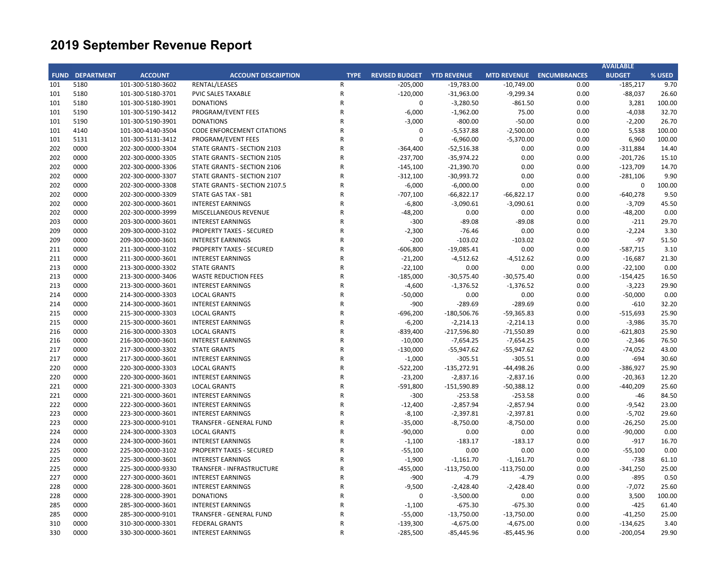|            |                        |                                        |                                              |              |                                   |                            |                     |                                 | <b>AVAILABLE</b>         |                 |
|------------|------------------------|----------------------------------------|----------------------------------------------|--------------|-----------------------------------|----------------------------|---------------------|---------------------------------|--------------------------|-----------------|
|            | <b>FUND DEPARTMENT</b> | <b>ACCOUNT</b>                         | <b>ACCOUNT DESCRIPTION</b>                   | <b>TYPE</b>  | <b>REVISED BUDGET YTD REVENUE</b> |                            |                     | <b>MTD REVENUE ENCUMBRANCES</b> | <b>BUDGET</b>            | % USED          |
| 101        | 5180                   | 101-300-5180-3602                      | RENTAL/LEASES                                | R            | $-205,000$                        | $-19,783.00$               | $-10,749.00$        | 0.00                            | -185,217                 | 9.70            |
| 101        | 5180                   | 101-300-5180-3701                      | <b>PVIC SALES TAXABLE</b>                    | $\mathsf{R}$ | $-120,000$                        | $-31,963.00$               | $-9,299.34$         | 0.00                            | $-88,037$                | 26.60           |
| 101        | 5180                   | 101-300-5180-3901                      | <b>DONATIONS</b>                             | R            | 0                                 | $-3,280.50$                | $-861.50$           | 0.00                            | 3,281                    | 100.00          |
| 101        | 5190                   | 101-300-5190-3412                      | PROGRAM/EVENT FEES                           | R            | $-6,000$                          | $-1,962.00$                | 75.00               | 0.00                            | $-4,038$                 | 32.70           |
| 101        | 5190                   | 101-300-5190-3901                      | <b>DONATIONS</b>                             | R            | $-3,000$                          | $-800.00$                  | $-50.00$            | 0.00                            | $-2,200$                 | 26.70           |
| 101        | 4140                   | 101-300-4140-3504                      | <b>CODE ENFORCEMENT CITATIONS</b>            | R            | $\mathbf 0$                       | $-5,537.88$                | $-2,500.00$         | 0.00                            | 5,538                    | 100.00          |
| 101        | 5131                   | 101-300-5131-3412                      | PROGRAM/EVENT FEES                           | R            | $\mathbf 0$                       | $-6,960.00$                | $-5,370.00$         | 0.00                            | 6,960                    | 100.00          |
| 202        | 0000                   | 202-300-0000-3304                      | STATE GRANTS - SECTION 2103                  | R            | $-364,400$                        | $-52,516.38$               | 0.00                | 0.00                            | $-311,884$               | 14.40           |
| 202        | 0000                   | 202-300-0000-3305                      | STATE GRANTS - SECTION 2105                  | R            | $-237,700$                        | $-35,974.22$               | 0.00                | 0.00                            | $-201,726$               | 15.10           |
| 202        | 0000                   | 202-300-0000-3306                      | STATE GRANTS - SECTION 2106                  | R            | $-145,100$                        | $-21,390.70$               | 0.00                | 0.00                            | $-123,709$               | 14.70           |
| 202        | 0000                   | 202-300-0000-3307                      | STATE GRANTS - SECTION 2107                  | R            | $-312,100$                        | $-30,993.72$               | 0.00                | 0.00                            | $-281,106$               | 9.90            |
| 202        | 0000                   | 202-300-0000-3308                      | STATE GRANTS - SECTION 2107.5                | R            | $-6,000$                          | $-6,000.00$                | 0.00                | 0.00                            | 0                        | 100.00          |
| 202        | 0000                   | 202-300-0000-3309                      | <b>STATE GAS TAX - SB1</b>                   | R            | $-707,100$                        | $-66,822.17$               | $-66,822.17$        | 0.00                            | $-640,278$               | 9.50            |
| 202        | 0000                   | 202-300-0000-3601                      | <b>INTEREST EARNINGS</b>                     | R            | $-6,800$                          | $-3,090.61$                | $-3,090.61$         | 0.00                            | $-3,709$                 | 45.50           |
| 202        | 0000                   | 202-300-0000-3999                      | MISCELLANEOUS REVENUE                        | R            | $-48,200$                         | 0.00                       | 0.00                | 0.00                            | $-48,200$                | 0.00            |
| 203        | 0000                   | 203-300-0000-3601                      | <b>INTEREST EARNINGS</b>                     | R            | $-300$                            | $-89.08$                   | $-89.08$            | 0.00                            | $-211$                   | 29.70           |
| 209        | 0000                   | 209-300-0000-3102                      | <b>PROPERTY TAXES - SECURED</b>              | R            | $-2,300$                          | $-76.46$                   | 0.00                | 0.00                            | $-2,224$                 | 3.30            |
| 209        | 0000                   | 209-300-0000-3601                      | <b>INTEREST EARNINGS</b>                     | R            | $-200$                            | $-103.02$                  | $-103.02$           | 0.00                            | $-97$                    | 51.50           |
| 211        | 0000                   | 211-300-0000-3102                      | <b>PROPERTY TAXES - SECURED</b>              | R            | $-606,800$                        | $-19,085.41$               | 0.00                | 0.00                            | -587,715                 | 3.10            |
| 211        | 0000                   | 211-300-0000-3601                      | <b>INTEREST EARNINGS</b>                     | R            | $-21,200$                         | $-4,512.62$                | $-4,512.62$         | 0.00                            | $-16,687$                | 21.30           |
| 213        | 0000                   | 213-300-0000-3302                      | <b>STATE GRANTS</b>                          | R            | $-22,100$                         | 0.00                       | 0.00                | 0.00                            | $-22,100$                | 0.00            |
| 213        | 0000                   | 213-300-0000-3406                      | <b>WASTE REDUCTION FEES</b>                  | R            | $-185,000$                        | $-30,575.40$               | $-30,575.40$        | 0.00                            | $-154,425$               | 16.50           |
| 213        | 0000                   | 213-300-0000-3601                      | <b>INTEREST EARNINGS</b>                     | R            | $-4,600$                          | $-1,376.52$                | $-1,376.52$         | 0.00                            | $-3,223$                 | 29.90           |
| 214        | 0000                   | 214-300-0000-3303                      | <b>LOCAL GRANTS</b>                          | R            | $-50,000$                         | 0.00                       | 0.00                | 0.00                            | $-50,000$                | 0.00            |
| 214        | 0000                   | 214-300-0000-3601                      | <b>INTEREST EARNINGS</b>                     | R            | $-900$                            | $-289.69$                  | $-289.69$           | 0.00                            | $-610$                   | 32.20           |
| 215        | 0000                   | 215-300-0000-3303                      | <b>LOCAL GRANTS</b>                          | R            | $-696,200$                        | $-180,506.76$              | $-59,365.83$        | 0.00                            | $-515,693$               | 25.90           |
| 215        | 0000                   | 215-300-0000-3601                      | <b>INTEREST EARNINGS</b>                     | R            | $-6,200$                          | $-2,214.13$                | $-2,214.13$         | 0.00                            | $-3,986$                 | 35.70           |
| 216        | 0000                   | 216-300-0000-3303                      | <b>LOCAL GRANTS</b>                          | R            | $-839,400$                        | $-217,596.80$              | $-71,550.89$        | 0.00                            | $-621,803$               | 25.90           |
| 216        | 0000                   | 216-300-0000-3601                      | <b>INTEREST EARNINGS</b>                     | R            | $-10,000$                         | $-7,654.25$                | $-7,654.25$         | 0.00                            | $-2,346$                 | 76.50           |
| 217        | 0000                   | 217-300-0000-3302                      | <b>STATE GRANTS</b>                          | R            | $-130,000$                        | $-55,947.62$               | $-55,947.62$        | 0.00                            | $-74,052$                | 43.00           |
| 217        | 0000                   | 217-300-0000-3601                      | <b>INTEREST EARNINGS</b>                     | R            | $-1,000$                          | $-305.51$                  | $-305.51$           | 0.00                            | $-694$                   | 30.60           |
| 220        | 0000                   | 220-300-0000-3303                      | <b>LOCAL GRANTS</b>                          | R            | $-522,200$                        | $-135,272.91$              | $-44,498.26$        | 0.00                            | -386,927                 | 25.90           |
| 220        | 0000                   | 220-300-0000-3601                      | <b>INTEREST EARNINGS</b>                     | R            | $-23,200$                         | $-2,837.16$                | $-2,837.16$         | 0.00                            | $-20,363$                | 12.20           |
| 221        | 0000                   | 221-300-0000-3303                      | <b>LOCAL GRANTS</b>                          | R            | $-591,800$                        | $-151,590.89$              | $-50,388.12$        | 0.00                            | -440,209                 | 25.60           |
| 221        | 0000                   | 221-300-0000-3601                      | <b>INTEREST EARNINGS</b>                     | R            | $-300$                            | $-253.58$                  | $-253.58$           | 0.00                            | $-46$                    | 84.50           |
| 222        | 0000                   | 222-300-0000-3601                      | <b>INTEREST EARNINGS</b>                     | R            | $-12,400$                         | $-2,857.94$                | $-2,857.94$         | 0.00                            | $-9,542$                 | 23.00           |
| 223        | 0000                   | 223-300-0000-3601                      | <b>INTEREST EARNINGS</b>                     | $\mathsf{R}$ | $-8,100$                          | $-2,397.81$                | $-2,397.81$         | 0.00                            | $-5,702$                 | 29.60           |
| 223        | 0000                   | 223-300-0000-9101                      | <b>TRANSFER - GENERAL FUND</b>               | R            | $-35,000$                         | $-8,750.00$                | $-8,750.00$         | 0.00                            | $-26,250$                | 25.00           |
| 224        | 0000                   | 224-300-0000-3303                      | <b>LOCAL GRANTS</b>                          | R            | $-90,000$                         | 0.00                       | 0.00                | 0.00                            | $-90,000$                | 0.00            |
| 224        | 0000                   | 224-300-0000-3601                      | <b>INTEREST EARNINGS</b>                     | R            | $-1,100$                          | $-183.17$                  | $-183.17$           | 0.00                            | $-917$                   | 16.70           |
| 225        | 0000                   | 225-300-0000-3102                      | <b>PROPERTY TAXES - SECURED</b>              | R            | $-55,100$                         | 0.00                       | 0.00                | 0.00                            | $-55,100$                | 0.00            |
| 225        | 0000                   | 225-300-0000-3601                      | <b>INTEREST EARNINGS</b>                     | R            | $-1,900$                          | $-1,161.70$                | $-1,161.70$         | 0.00                            | $-738$                   | 61.10           |
| 225        | 0000                   | 225-300-0000-9330                      | TRANSFER - INFRASTRUCTURE                    | R            | $-455,000$                        | $-113,750.00$              | $-113,750.00$       | 0.00                            | $-341,250$               | 25.00           |
| 227        | 0000                   | 227-300-0000-3601                      | <b>INTEREST EARNINGS</b>                     | R            | $-900$                            | $-4.79$                    | $-4.79$             | 0.00                            | $-895$                   | 0.50            |
|            |                        |                                        |                                              | R            |                                   |                            |                     |                                 |                          |                 |
| 228<br>228 | 0000<br>0000           | 228-300-0000-3601<br>228-300-0000-3901 | <b>INTEREST EARNINGS</b><br><b>DONATIONS</b> | R            | $-9,500$<br>$\mathbf 0$           | $-2,428.40$<br>$-3,500.00$ | $-2,428.40$<br>0.00 | 0.00<br>0.00                    | $-7,072$<br>3,500        | 25.60<br>100.00 |
|            | 0000                   |                                        | <b>INTEREST EARNINGS</b>                     | R            |                                   | $-675.30$                  | $-675.30$           | 0.00                            | $-425$                   |                 |
| 285<br>285 | 0000                   | 285-300-0000-3601<br>285-300-0000-9101 | TRANSFER - GENERAL FUND                      | R            | $-1,100$<br>$-55,000$             | $-13,750.00$               | $-13,750.00$        | 0.00                            | $-41,250$                | 61.40<br>25.00  |
| 310        | 0000                   | 310-300-0000-3301                      | <b>FEDERAL GRANTS</b>                        | R            | $-139,300$                        | $-4,675.00$                | $-4,675.00$         | 0.00                            |                          | 3.40            |
|            | 0000                   |                                        |                                              | R            |                                   |                            |                     |                                 | $-134,625$<br>$-200,054$ |                 |
| 330        |                        | 330-300-0000-3601                      | <b>INTEREST EARNINGS</b>                     |              | $-285,500$                        | $-85,445.96$               | $-85,445.96$        | 0.00                            |                          | 29.90           |